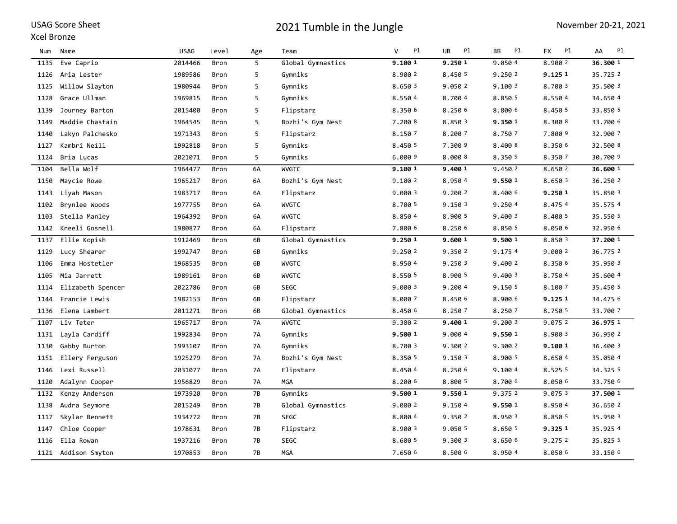#### Xcel Bronze

| Num  | Name                | <b>USAG</b> | Level | Age       | Team              | Pl<br>v | P1<br>UB | P1<br>BB | Pl<br><b>FX</b> | P1<br>AA |
|------|---------------------|-------------|-------|-----------|-------------------|---------|----------|----------|-----------------|----------|
| 1135 | Eve Caprio          | 2014466     | Bron  | 5         | Global Gymnastics | 9.100 1 | 9.250 1  | 9.050 4  | 8.900 2         | 36.300 1 |
| 1126 | Aria Lester         | 1989586     | Bron  | 5         | Gymniks           | 8.900 2 | 8.450 5  | 9.250 2  | 9.125 1         | 35.725 2 |
| 1125 | Willow Slayton      | 1980944     | Bron  | 5         | Gymniks           | 8.650 3 | 9.050 2  | 9.100 3  | 8.700 3         | 35.500 3 |
| 1128 | Grace Ullman        | 1969815     | Bron  | 5         | Gymniks           | 8.550 4 | 8.700 4  | 8.850 5  | 8.5504          | 34.650 4 |
| 1139 | Journey Barton      | 2015400     | Bron  | 5         | Flipstarz         | 8.350 6 | 8.250 6  | 8.800 6  | 8.450 5         | 33.850 5 |
| 1149 | Maddie Chastain     | 1964545     | Bron  | 5         | Bozhi's Gym Nest  | 7.200 8 | 8.850 3  | 9.350 1  | 8.300 8         | 33.700 6 |
| 1140 | Lakyn Palchesko     | 1971343     | Bron  | 5         | Flipstarz         | 8.150 7 | 8.2007   | 8.750 7  | 7.800 9         | 32.900 7 |
| 1127 | Kambri Neill        | 1992818     | Bron  | 5         | Gymniks           | 8.450 5 | 7.300 9  | 8.400 8  | 8.350 6         | 32.500 8 |
| 1124 | Bria Lucas          | 2021071     | Bron  | 5         | Gymniks           | 6.000 9 | 8.000 8  | 8.350 9  | 8.3507          | 30.700 9 |
| 1104 | Bella Wolf          | 1964477     | Bron  | 6A        | WVGTC             | 9.100 1 | 9.400 1  | 9.450 2  | 8.650 2         | 36.600 1 |
| 1150 | Maycie Rowe         | 1965217     | Bron  | 6A        | Bozhi's Gym Nest  | 9.100 2 | 8.950 4  | 9.550 1  | 8.650 3         | 36.250 2 |
| 1143 | Liyah Mason         | 1983717     | Bron  | 6A        | Flipstarz         | 9.000 3 | 9.200 2  | 8.400 6  | 9.250 1         | 35.850 3 |
| 1102 | Brynlee Woods       | 1977755     | Bron  | 6A        | <b>WVGTC</b>      | 8.700 5 | 9.150 3  | 9.250 4  | 8.4754          | 35.575 4 |
| 1103 | Stella Manley       | 1964392     | Bron  | 6A        | WVGTC             | 8.8504  | 8.900 5  | 9.400 3  | 8.400 5         | 35.550 5 |
| 1142 | Kneeli Gosnell      | 1980877     | Bron  | 6A        | Flipstarz         | 7.800 6 | 8.250 6  | 8.850 5  | 8.050 6         | 32.950 6 |
| 1137 | Ellie Kopish        | 1912469     | Bron  | 6B        | Global Gymnastics | 9.250 1 | 9.600 1  | 9.500 1  | 8.850 3         | 37.200 1 |
| 1129 | Lucy Shearer        | 1992747     | Bron  | 6B        | Gymniks           | 9.250 2 | 9.350 2  | 9.1754   | 9.000 2         | 36.775 2 |
| 1106 | Emma Hostetler      | 1968535     | Bron  | 6B        | <b>WVGTC</b>      | 8.950 4 | 9.250 3  | 9.400 2  | 8.350 6         | 35.950 3 |
| 1105 | Mia Jarrett         | 1989161     | Bron  | 6B        | <b>WVGTC</b>      | 8.550 5 | 8.900 5  | 9.4003   | 8.7504          | 35.600 4 |
| 1114 | Elizabeth Spencer   | 2022786     | Bron  | 6В        | SEGC              | 9.000 3 | 9.2004   | 9.150 5  | 8.100 7         | 35.450 5 |
| 1144 | Francie Lewis       | 1982153     | Bron  | 6B        | Flipstarz         | 8.000 7 | 8.450 6  | 8.900 6  | 9.1251          | 34,475 6 |
| 1136 | Elena Lambert       | 2011271     | Bron  | 6B        | Global Gymnastics | 8.450 6 | 8.250 7  | 8.250 7  | 8.750 5         | 33.700 7 |
| 1107 | Liv Teter           | 1965717     | Bron  | 7A        | WVGTC             | 9.300 2 | 9.400 1  | 9.2003   | 9.075 2         | 36.975 1 |
| 1131 | Layla Cardiff       | 1992834     | Bron  | 7A        | Gymniks           | 9.500 1 | 9.000 4  | 9.550 1  | 8.900 3         | 36.950 2 |
| 1130 | Gabby Burton        | 1993107     | Bron  | 7A        | Gymniks           | 8.700 3 | 9.300 2  | 9.300 2  | 9.100 1         | 36.400 3 |
| 1151 | Ellery Ferguson     | 1925279     | Bron  | 7A        | Bozhi's Gym Nest  | 8.350 5 | 9.150 3  | 8.900 5  | 8.650 4         | 35.050 4 |
| 1146 | Lexi Russell        | 2031077     | Bron  | 7A        | Flipstarz         | 8.450 4 | 8.250 6  | 9.100 4  | 8.525 5         | 34.325 5 |
| 1120 | Adalynn Cooper      | 1956829     | Bron  | 7A        | <b>MGA</b>        | 8.200 6 | 8.800 5  | 8.700 6  | 8.050 6         | 33.750 6 |
| 1132 | Kenzy Anderson      | 1973920     | Bron  | <b>7B</b> | Gymniks           | 9.500 1 | 9.550 1  | 9.375 2  | 9.075 3         | 37.500 1 |
| 1138 | Audra Seymore       | 2015249     | Bron  | 7B        | Global Gymnastics | 9.000 2 | 9.1504   | 9.550 1  | 8.9504          | 36.650 2 |
| 1117 | Skylar Bennett      | 1934772     | Bron  | 7B        | SEGC              | 8.800 4 | 9.350 2  | 8.950 3  | 8.850 5         | 35.950 3 |
| 1147 | Chloe Cooper        | 1978631     | Bron  | 7B        | Flipstarz         | 8.900 3 | 9.050 5  | 8.650 5  | 9.3251          | 35.925 4 |
| 1116 | Ella Rowan          | 1937216     | Bron  | 7B        | SEGC              | 8.600 5 | 9.300 3  | 8.650 6  | 9.275 2         | 35.825 5 |
|      | 1121 Addison Smyton | 1970853     | Bron  | 7B        | <b>MGA</b>        | 7.650 6 | 8.500 6  | 8.950 4  | 8.050 6         | 33.150 6 |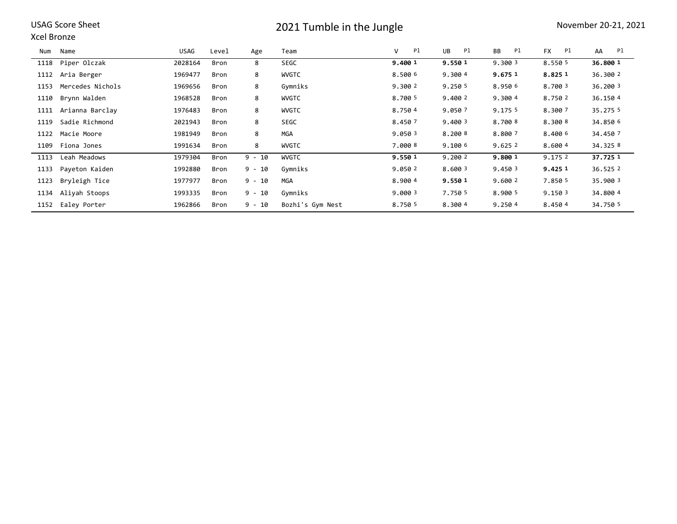#### Xcel Bronze

| Num  | Name              | <b>USAG</b> | Level | Age      | Team             | Pl<br>V | Pl<br><b>UB</b> | Pl<br><b>BB</b> | Pl<br><b>FX</b> | AA<br>Pl |
|------|-------------------|-------------|-------|----------|------------------|---------|-----------------|-----------------|-----------------|----------|
| 1118 | Piper Olczak      | 2028164     | Bron  | 8        | SEGC             | 9.400 1 | 9.550 1         | 9.300 3         | 8.550 5         | 36.800 1 |
| 1112 | Aria Berger       | 1969477     | Bron  | 8        | <b>WVGTC</b>     | 8.500 6 | 9.300 4         | 9.675 1         | 8.8251          | 36.300 2 |
| 1153 | Mercedes Nichols  | 1969656     | Bron  | 8        | Gymniks          | 9.3002  | 9.250 5         | 8.950 6         | 8.700 3         | 36,200 3 |
| 1110 | Brynn Walden      | 1968528     | Bron  | 8        | <b>WVGTC</b>     | 8.700 5 | 9.400 2         | 9.3004          | 8.750 2         | 36.150 4 |
| 1111 | Arianna Barclay   | 1976483     | Bron  | 8        | <b>WVGTC</b>     | 8.7504  | 9.050 7         | 9.175 5         | 8.300 7         | 35.275 5 |
| 1119 | Sadie Richmond    | 2021943     | Bron  | 8        | SEGC             | 8.4507  | 9.400 3         | 8,700 8         | 8.300 8         | 34.850 6 |
| 1122 | Macie Moore       | 1981949     | Bron  | 8        | <b>MGA</b>       | 9.050 3 | 8.2008          | 8.800 7         | 8.400 6         | 34.450 7 |
| 1109 | Fiona Jones       | 1991634     | Bron  | 8        | <b>WVGTC</b>     | 7.0008  | 9.100 6         | 9.6252          | 8.6004          | 34.325 8 |
| 1113 | Leah Meadows      | 1979304     | Bron  | $9 - 10$ | <b>WVGTC</b>     | 9.550 1 | 9.200 2         | 9.800 1         | 9.175 2         | 37.725 1 |
| 1133 | Payeton Kaiden    | 1992880     | Bron  | $9 - 10$ | Gymniks          | 9.0502  | 8.600 3         | 9.450 3         | 9.425 1         | 36.525 2 |
| 1123 | Bryleigh Tice     | 1977977     | Bron  | $9 - 10$ | Mga              | 8.9004  | 9.550 1         | 9.600 2         | 7.850 5         | 35,900 3 |
| 1134 | Aliyah Stoops     | 1993335     | Bron  | $9 - 10$ | Gymniks          | 9.000 3 | 7.750 5         | 8.900 5         | 9.1503          | 34.800 4 |
|      | 1152 Ealey Porter | 1962866     | Bron  | $9 - 10$ | Bozhi's Gym Nest | 8.750 5 | 8.300 4         | 9.250 4         | 8.4504          | 34.750 5 |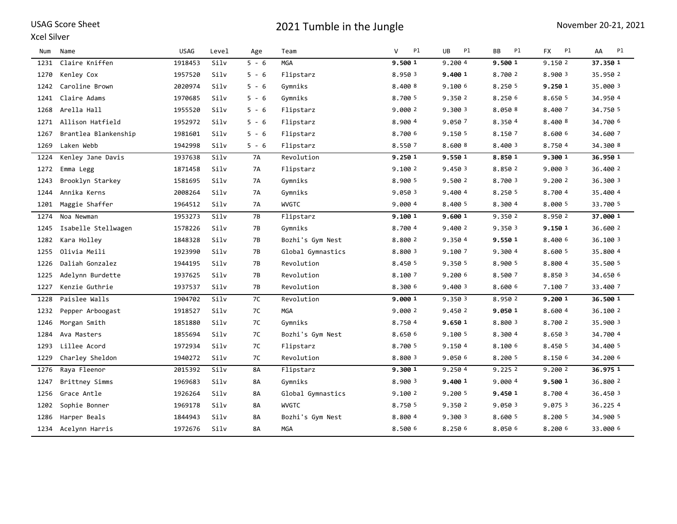### Xcel Silver

| Num  | Name                 | <b>USAG</b> | Level | Age       | Team              | Pl<br>V | <b>UB</b><br>P1 | P1<br>BB | P1<br><b>FX</b> | P1<br>AA |
|------|----------------------|-------------|-------|-----------|-------------------|---------|-----------------|----------|-----------------|----------|
| 1231 | Claire Kniffen       | 1918453     | Silv  | $5 - 6$   | <b>MGA</b>        | 9.500 1 | 9.2004          | 9.500 1  | 9.1502          | 37.350 1 |
| 1270 | Kenley Cox           | 1957520     | Silv  | $5 - 6$   | Flipstarz         | 8.950 3 | 9,400 1         | 8.700 2  | 8.900 3         | 35.950 2 |
| 1242 | Caroline Brown       | 2020974     | Silv  | $5 - 6$   | Gymniks           | 8.400 8 | 9.100 6         | 8.250 5  | 9.250 1         | 35.000 3 |
| 1241 | Claire Adams         | 1970685     | Silv  | $5 - 6$   | Gymniks           | 8.700 5 | 9.350 2         | 8.250 6  | 8.650 5         | 34.950 4 |
| 1268 | Arella Hall          | 1955520     | Silv  | $5 - 6$   | Flipstarz         | 9.000 2 | 9.300 3         | 8.0508   | 8.400 7         | 34,750 5 |
| 1271 | Allison Hatfield     | 1952972     | Silv  | $5 - 6$   | Flipstarz         | 8.900 4 | 9.050 7         | 8.3504   | 8.400 8         | 34.700 6 |
| 1267 | Brantlea Blankenship | 1981601     | Silv  | $5 - 6$   | Flipstarz         | 8.700 6 | 9.150 5         | 8.150 7  | 8.600 6         | 34.600 7 |
| 1269 | Laken Webb           | 1942998     | Silv  | $5 - 6$   | Flipstarz         | 8.550 7 | 8.600 8         | 8.400 3  | 8.7504          | 34.300 8 |
| 1224 | Kenley Jane Davis    | 1937638     | Silv  | 7A        | Revolution        | 9.250 1 | 9.550 1         | 8.850 1  | 9.300 1         | 36.950 1 |
| 1272 | Emma Legg            | 1871458     | Silv  | 7A        | Flipstarz         | 9.100 2 | 9.450 3         | 8.850 2  | 9.000 3         | 36.400 2 |
| 1243 | Brooklyn Starkey     | 1581695     | Silv  | 7A        | Gymniks           | 8.900 5 | 9.500 2         | 8.700 3  | 9.200 2         | 36.300 3 |
| 1244 | Annika Kerns         | 2008264     | Silv  | 7A        | Gymniks           | 9.050 3 | 9.400 4         | 8.250 5  | 8.700 4         | 35.400 4 |
| 1201 | Maggie Shaffer       | 1964512     | Silv  | 7A        | <b>WVGTC</b>      | 9.0004  | 8.400 5         | 8.300 4  | 8.000 5         | 33.700 5 |
| 1274 | Noa Newman           | 1953273     | Silv  | 7B        | Flipstarz         | 9.100 1 | 9.600 1         | 9.3502   | 8.950 2         | 37.000 1 |
| 1245 | Isabelle Stellwagen  | 1578226     | Silv  | 7В        | Gymniks           | 8.700 4 | 9.400 2         | 9.3503   | 9.150 1         | 36.600 2 |
| 1282 | Kara Holley          | 1848328     | Silv  | 7В        | Bozhi's Gym Nest  | 8.800 2 | 9.350 4         | 9.550 1  | 8.400 6         | 36.100 3 |
| 1255 | Olivia Meili         | 1923990     | Silv  | 7В        | Global Gymnastics | 8.800 3 | 9.100 7         | 9.300 4  | 8.600 5         | 35.800 4 |
| 1226 | Daliah Gonzalez      | 1944195     | Silv  | 7B        | Revolution        | 8.450 5 | 9.350 5         | 8.900 5  | 8.800 4         | 35.500 5 |
| 1225 | Adelynn Burdette     | 1937625     | Silv  | 7B        | Revolution        | 8.100 7 | 9.200 6         | 8.500 7  | 8.850 3         | 34.650 6 |
| 1227 | Kenzie Guthrie       | 1937537     | Silv  | 7В        | Revolution        | 8.300 6 | 9.400 3         | 8.600 6  | 7.100 7         | 33.400 7 |
| 1228 | Paislee Walls        | 1904702     | Silv  | 7C        | Revolution        | 9.000 1 | 9.350 3         | 8.950 2  | 9.200 1         | 36.500 1 |
| 1232 | Pepper Arboogast     | 1918527     | Silv  | 7C        | <b>MGA</b>        | 9.000 2 | 9.450 2         | 9.050 1  | 8.600 4         | 36.100 2 |
| 1246 | Morgan Smith         | 1851880     | Silv  | 7C        | Gymniks           | 8.750 4 | 9.650 1         | 8.800 3  | 8.700 2         | 35.900 3 |
| 1284 | Ava Masters          | 1855694     | Silv  | 7C        | Bozhi's Gym Nest  | 8.650 6 | 9.100 5         | 8.300 4  | 8.650 3         | 34.700 4 |
| 1293 | Lillee Acord         | 1972934     | Silv  | 7C        | Flipstarz         | 8.700 5 | 9.150 4         | 8.100 6  | 8.450 5         | 34,400 5 |
| 1229 | Charley Sheldon      | 1940272     | Silv  | 7C        | Revolution        | 8.800 3 | 9.050 6         | 8.200 5  | 8.150 6         | 34.200 6 |
| 1276 | Raya Fleenor         | 2015392     | Silv  | <b>8A</b> | Flipstarz         | 9.300 1 | 9.2504          | 9.2252   | 9.2002          | 36.975 1 |
| 1247 | Brittney Simms       | 1969683     | Silv  | 8A        | Gymniks           | 8.900 3 | 9.400 1         | 9.0004   | 9.500 1         | 36.800 2 |
| 1256 | Grace Antle          | 1926264     | Silv  | 8A        | Global Gymnastics | 9.100 2 | 9.200 5         | 9.450 1  | 8.7004          | 36.450 3 |
| 1202 | Sophie Bonner        | 1969178     | Silv  | 8A        | <b>WVGTC</b>      | 8.750 5 | 9.350 2         | 9.050 3  | 9.075 3         | 36.2254  |
| 1286 | Harper Beals         | 1844943     | Silv  | 8A        | Bozhi's Gym Nest  | 8.800 4 | 9.300 3         | 8.600 5  | 8.200 5         | 34.900 5 |
| 1234 | Acelynn Harris       | 1972676     | Silv  | 8Α        | <b>MGA</b>        | 8.500 6 | 8.250 6         | 8.0506   | 8.200 6         | 33.000 6 |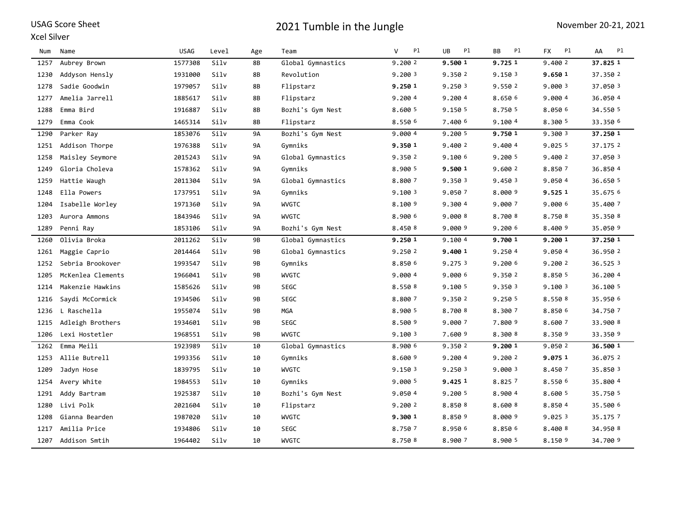#### Xcel Silver

| Num  | Name              | <b>USAG</b> | Level | Age       | Team              | $\mathsf{V}$<br>P1 | <b>UB</b><br>Pl | P1<br><b>BB</b> | P1<br><b>FX</b> | P1<br>AA |
|------|-------------------|-------------|-------|-----------|-------------------|--------------------|-----------------|-----------------|-----------------|----------|
| 1257 | Aubrey Brown      | 1577308     | Silv  | 8B        | Global Gymnastics | 9.200 2            | 9.500 1         | 9.725 1         | 9.400 2         | 37.825 1 |
| 1230 | Addyson Hensly    | 1931000     | Silv  | 8B        | Revolution        | 9.2003             | 9.350 2         | 9.150 3         | 9.650 1         | 37.350 2 |
| 1278 | Sadie Goodwin     | 1979057     | Silv  | 8Β        | Flipstarz         | 9.250 1            | 9.2503          | 9.550 2         | 9.000 3         | 37.0503  |
| 1277 | Amelia Jarrell    | 1885617     | Silv  | 8Β        | Flipstarz         | 9.2004             | 9.200 4         | 8.650 6         | 9.000 4         | 36.050 4 |
| 1288 | Emma Bird         | 1916887     | Silv  | 8B        | Bozhi's Gym Nest  | 8.600 5            | 9.150 5         | 8.750 5         | 8.050 6         | 34.550 5 |
| 1279 | Emma Cook         | 1465314     | Silv  | 8B        | Flipstarz         | 8.550 6            | 7.400 6         | 9.1004          | 8.300 5         | 33.350 6 |
| 1290 | Parker Ray        | 1853076     | Silv  | <b>9A</b> | Bozhi's Gym Nest  | 9.0004             | 9.200 5         | 9.750 1         | 9.300 3         | 37.250 1 |
| 1251 | Addison Thorpe    | 1976388     | Silv  | <b>9A</b> | Gymniks           | 9.350 1            | 9.400 2         | 9.400 4         | 9.0255          | 37.1752  |
| 1258 | Maisley Seymore   | 2015243     | Silv  | <b>9A</b> | Global Gymnastics | 9.350 2            | 9.1006          | 9.200 5         | 9.400 2         | 37.050 3 |
| 1249 | Gloria Choleva    | 1578362     | Silv  | <b>9A</b> | Gymniks           | 8.900 5            | 9.500 1         | 9.600 2         | 8.8507          | 36.850 4 |
| 1259 | Hattie Waugh      | 2011304     | Silv  | <b>9A</b> | Global Gymnastics | 8.800 7            | 9.350 3         | 9.450 3         | 9.050 4         | 36.650 5 |
| 1248 | Ella Powers       | 1737951     | Silv  | <b>9A</b> | Gymniks           | 9.1003             | 9.050 7         | 8.000 9         | 9.525 1         | 35.675 6 |
| 1204 | Isabelle Worley   | 1971360     | Silv  | <b>9A</b> | <b>WVGTC</b>      | 8.100 9            | 9.300 4         | 9.000 7         | 9.000 6         | 35,400 7 |
| 1203 | Aurora Ammons     | 1843946     | Silv  | <b>9A</b> | <b>WVGTC</b>      | 8,900 6            | 9,000 8         | 8,700 8         | 8.750 8         | 35.350 8 |
| 1289 | Penni Ray         | 1853106     | Silv  | <b>9A</b> | Bozhi's Gym Nest  | 8.450 8            | 9.000 9         | 9.200 6         | 8.400 9         | 35.050 9 |
| 1260 | Olivia Broka      | 2011262     | Silv  | 9B        | Global Gymnastics | 9.250 1            | 9.100 4         | 9.700 1         | 9.200 1         | 37.250 1 |
| 1261 | Maggie Caprio     | 2014464     | Silv  | 9B        | Global Gymnastics | 9.250 2            | 9.400 1         | 9.250 4         | 9.050 4         | 36.950 2 |
| 1252 | Sebria Brookover  | 1993547     | Silv  | 9B        | Gymniks           | 8.850 6            | 9.275 3         | 9.200 6         | 9.200 2         | 36.525 3 |
| 1205 | McKenlea Clements | 1966041     | Silv  | 9B        | <b>WVGTC</b>      | 9.000 4            | 9.000 6         | 9.350 2         | 8.850 5         | 36.2004  |
| 1214 | Makenzie Hawkins  | 1585626     | Silv  | 9B        | <b>SEGC</b>       | 8.550 8            | 9.100 5         | 9.350 3         | 9.100 3         | 36.100 5 |
| 1216 | Saydi McCormick   | 1934506     | Silv  | 9B        | <b>SEGC</b>       | 8.800 7            | 9.350 2         | 9.250 5         | 8.550 8         | 35.950 6 |
| 1236 | L Raschella       | 1955074     | Silv  | 9B        | <b>MGA</b>        | 8.900 5            | 8.700 8         | 8.300 7         | 8.850 6         | 34.750 7 |
| 1215 | Adleigh Brothers  | 1934601     | Silv  | 9B        | <b>SEGC</b>       | 8.500 9            | 9.000 7         | 7.800 9         | 8.600 7         | 33.900 8 |
| 1206 | Lexi Hostetler    | 1968551     | Silv  | 9B        | <b>WVGTC</b>      | 9.1003             | 7.600 9         | 8.300 8         | 8.350 9         | 33.350 9 |
| 1262 | Emma Meili        | 1923989     | Silv  | 10        | Global Gymnastics | 8.900 6            | 9.350 2         | 9.200 1         | 9.050 2         | 36.500 1 |
| 1253 | Allie Butrell     | 1993356     | Silv  | 10        | Gymniks           | 8.600 9            | 9.2004          | 9.200 2         | 9.075 1         | 36.075 2 |
| 1209 | Jadyn Hose        | 1839795     | Silv  | 10        | <b>WVGTC</b>      | 9.150 3            | 9.250 3         | 9.000 3         | 8.450 7         | 35.850 3 |
| 1254 | Avery White       | 1984553     | Silv  | 10        | Gymniks           | 9.000 5            | 9.425 1         | 8.8257          | 8.550 6         | 35.800 4 |
| 1291 | Addy Bartram      | 1925387     | Silv  | 10        | Bozhi's Gym Nest  | 9.050 4            | 9.200 5         | 8.900 4         | 8.600 5         | 35.750 5 |
| 1280 | Livi Polk         | 2021604     | Silv  | 10        | Flipstarz         | 9.200 2            | 8.850 8         | 8.600 8         | 8.8504          | 35.500 6 |
| 1208 | Gianna Bearden    | 1987020     | Silv  | 10        | <b>WVGTC</b>      | 9.300 1            | 8.850 9         | 8.000 9         | 9.0253          | 35.175 7 |
| 1217 | Amilia Price      | 1934806     | Silv  | 10        | SEGC              | 8.750 7            | 8.950 6         | 8.850 6         | 8.400 8         | 34.950 8 |
| 1207 | Addison Smtih     | 1964402     | Silv  | 10        | <b>WVGTC</b>      | 8.750 8            | 8.900 7         | 8.900 5         | 8.150 9         | 34.700 9 |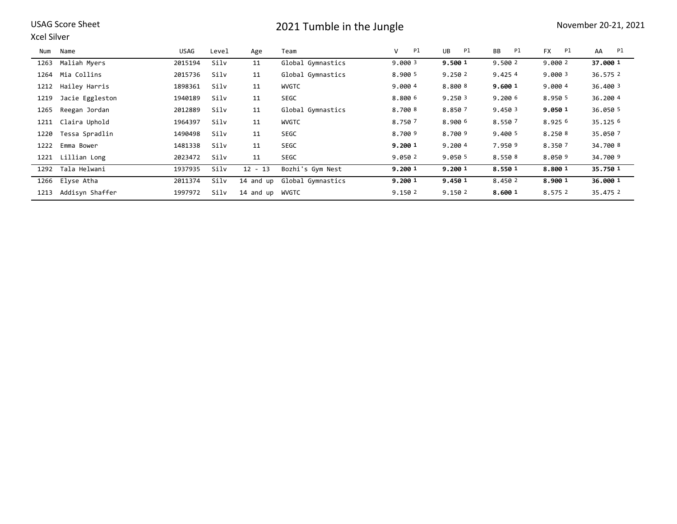|--|

#### Xcel Silver

| Num  | Name              | <b>USAG</b> | Level | Age             | Team                        | V<br>Pl | Pl<br>UB | Pl<br>BB | <b>FX</b><br>Pl | AA<br>Pl |
|------|-------------------|-------------|-------|-----------------|-----------------------------|---------|----------|----------|-----------------|----------|
| 1263 | Maliah Myers      | 2015194     | Silv  | 11              | Global Gymnastics           | 9.000 3 | 9.500 1  | 9.500 2  | 9.000 2         | 37.000 1 |
| 1264 | Mia Collins       | 2015736     | Silv  | 11              | Global Gymnastics           | 8.900 5 | 9.2502   | 9.4254   | 9.0003          | 36.575 2 |
| 1212 | Hailey Harris     | 1898361     | Silv  | 11              | WVGTC                       | 9.000 4 | 8.800 8  | 9.600 1  | 9.0004          | 36,400 3 |
| 1219 | Jacie Eggleston   | 1940189     | Silv  | 11              | <b>SEGC</b>                 | 8.800 6 | 9.250 3  | 9.2006   | 8.950 5         | 36.2004  |
| 1265 | Reegan Jordan     | 2012889     | Silv  | 11              | Global Gymnastics           | 8.7008  | 8.8507   | 9.450 3  | 9.050 1         | 36.050 5 |
| 1211 | Claira Uphold     | 1964397     | Silv  | 11              | <b>WVGTC</b>                | 8.750 7 | 8.900 6  | 8.550 7  | 8.925 6         | 35.125 6 |
| 1220 | Tessa Spradlin    | 1490498     | Silv  | 11              | <b>SEGC</b>                 | 8.700 9 | 8.700 9  | 9.400 5  | 8.250 8         | 35.050 7 |
| 1222 | Emma Bower        | 1481338     | Silv  | 11              | <b>SEGC</b>                 | 9.200 1 | 9.2004   | 7.950 9  | 8.350 7         | 34,700 8 |
| 1221 | Lillian Long      | 2023472     | Silv  | 11              | <b>SEGC</b>                 | 9.050 2 | 9.050 5  | 8.5508   | 8.050 9         | 34,700 9 |
|      | 1292 Tala Helwani | 1937935     | Silv  | $12 - 13$       | Bozhi's Gym Nest            | 9.200 1 | 9.200 1  | 8.550 1  | 8.800 1         | 35.750 1 |
|      | 1266 Elyse Atha   | 2011374     | Silv  |                 | 14 and up Global Gymnastics | 9.200 1 | 9.450 1  | 8.450 2  | 8.900 1         | 36.000 1 |
| 1213 | Addisyn Shaffer   | 1997972     | Silv  | 14 and up WVGTC |                             | 9.150 2 | 9.150 2  | 8.600 1  | 8.575 2         | 35.475 2 |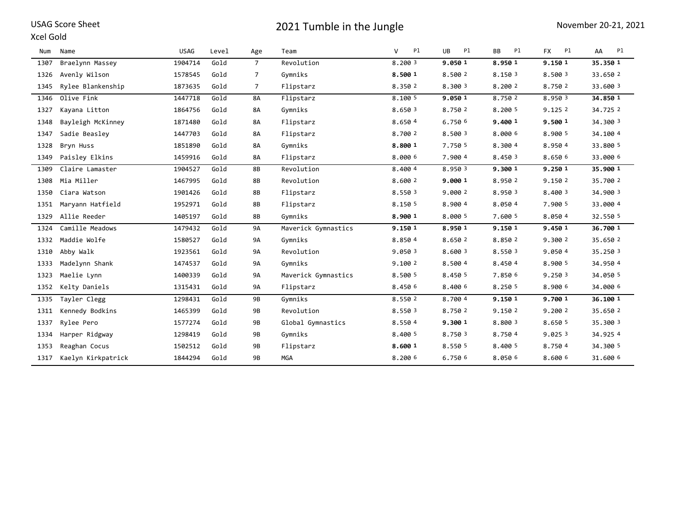### Xcel Gold

| Num  | Name               | <b>USAG</b> | Level | Age            | Team                | v<br>Pl | <b>UB</b><br>Pl | <b>BB</b><br>Pl | <b>FX</b><br>Pl | AA<br>Pl |
|------|--------------------|-------------|-------|----------------|---------------------|---------|-----------------|-----------------|-----------------|----------|
| 1307 | Braelynn Massey    | 1904714     | Gold  | $7^{\circ}$    | Revolution          | 8.200 3 | 9.050 1         | 8.950 1         | 9.150 1         | 35.350 1 |
| 1326 | Avenly Wilson      | 1578545     | Gold  | $\overline{7}$ | Gymniks             | 8.500 1 | 8.500 2         | 8.150 3         | 8.500 3         | 33.650 2 |
| 1345 | Rylee Blankenship  | 1873635     | Gold  | 7              | Flipstarz           | 8.350 2 | 8.300 3         | 8.200 2         | 8.750 2         | 33.600 3 |
| 1346 | Olive Fink         | 1447718     | Gold  | <b>8A</b>      | Flipstarz           | 8.100 5 | 9.050 1         | 8.750 2         | 8.950 3         | 34.850 1 |
| 1327 | Kayana Litton      | 1864756     | Gold  | 8A             | Gymniks             | 8.650 3 | 8.750 2         | 8.200 5         | 9.1252          | 34.725 2 |
| 1348 | Bayleigh McKinney  | 1871480     | Gold  | 8A             | Flipstarz           | 8.650 4 | 6.750 6         | 9.400 1         | 9.500 1         | 34.300 3 |
| 1347 | Sadie Beasley      | 1447703     | Gold  | 8A             | Flipstarz           | 8.700 2 | 8.500 3         | 8.000 6         | 8.900 5         | 34.100 4 |
| 1328 | Bryn Huss          | 1851890     | Gold  | 8A             | Gymniks             | 8.800 1 | 7.750 5         | 8.300 4         | 8.950 4         | 33.800 5 |
| 1349 | Paisley Elkins     | 1459916     | Gold  | <b>8A</b>      | Flipstarz           | 8.000 6 | 7.900 4         | 8.450 3         | 8.650 6         | 33.000 6 |
| 1309 | Claire Lamaster    | 1904527     | Gold  | 8B             | Revolution          | 8.400 4 | 8.950 3         | 9.300 1         | 9.250 1         | 35.900 1 |
| 1308 | Mia Miller         | 1467995     | Gold  | 8B             | Revolution          | 8.600 2 | 9.000 1         | 8.950 2         | 9.150 2         | 35,700 2 |
| 1350 | Ciara Watson       | 1901426     | Gold  | 8B             | Flipstarz           | 8.550 3 | 9.000 2         | 8.950 3         | 8.400 3         | 34.900 3 |
| 1351 | Maryann Hatfield   | 1952971     | Gold  | 8B             | Flipstarz           | 8.150 5 | 8.900 4         | 8.050 4         | 7.900 5         | 33.000 4 |
| 1329 | Allie Reeder       | 1405197     | Gold  | 8B             | Gymniks             | 8.900 1 | 8.000 5         | 7.600 5         | 8.050 4         | 32.550 5 |
| 1324 | Camille Meadows    | 1479432     | Gold  | <b>9A</b>      | Maverick Gymnastics | 9.150 1 | 8.950 1         | 9.150 1         | 9.450 1         | 36.700 1 |
| 1332 | Maddie Wolfe       | 1580527     | Gold  | 9A             | Gymniks             | 8.850 4 | 8.650 2         | 8.850 2         | 9.300 2         | 35.650 2 |
| 1310 | Abby Walk          | 1923561     | Gold  | 9A             | Revolution          | 9.050 3 | 8.600 3         | 8.550 3         | 9.050 4         | 35.250 3 |
| 1333 | Madelynn Shank     | 1474537     | Gold  | 9A             | Gymniks             | 9.1002  | 8.500 4         | 8.450 4         | 8.900 5         | 34.950 4 |
| 1323 | Maelie Lynn        | 1400339     | Gold  | <b>9A</b>      | Maverick Gymnastics | 8.500 5 | 8.450 5         | 7.850 6         | 9.2503          | 34.050 5 |
| 1352 | Kelty Daniels      | 1315431     | Gold  | <b>9A</b>      | Flipstarz           | 8.450 6 | 8.400 6         | 8.250 5         | 8.900 6         | 34.000 6 |
| 1335 | Tayler Clegg       | 1298431     | Gold  | 9B             | Gymniks             | 8.550 2 | 8.700 4         | 9.150 1         | 9.700 1         | 36.100 1 |
| 1311 | Kennedy Bodkins    | 1465399     | Gold  | 9B             | Revolution          | 8.550 3 | 8.750 2         | 9.150 2         | 9.200 2         | 35.650 2 |
| 1337 | Rylee Pero         | 1577274     | Gold  | 9B             | Global Gymnastics   | 8.550 4 | 9.300 1         | 8.800 3         | 8.650 5         | 35.300 3 |
| 1334 | Harper Ridgway     | 1298419     | Gold  | 9B             | Gymniks             | 8.400 5 | 8.750 3         | 8.750 4         | 9.0253          | 34.9254  |
| 1353 | Reaghan Cocus      | 1502512     | Gold  | 9B             | Flipstarz           | 8.600 1 | 8.550 5         | 8.400 5         | 8.7504          | 34.300 5 |
| 1317 | Kaelyn Kirkpatrick | 1844294     | Gold  | 9B             | <b>MGA</b>          | 8.200 6 | 6.750 6         | 8.050 6         | 8.600 6         | 31.600 6 |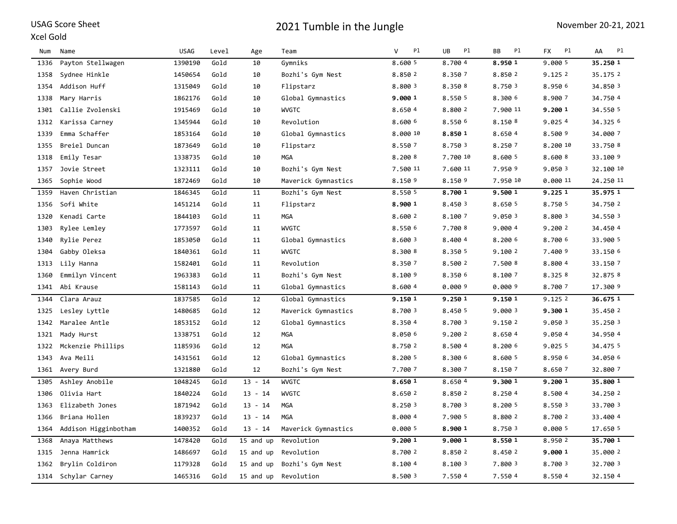#### Xcel Gold

| Num  | Name                 | <b>USAG</b> | Level | Age       | Team                | v<br>P1  | UB<br>P1 | P1<br>ВB | <b>FX</b><br>P1 | Pl<br>AA  |
|------|----------------------|-------------|-------|-----------|---------------------|----------|----------|----------|-----------------|-----------|
| 1336 | Payton Stellwagen    | 1390190     | Gold  | 10        | Gymniks             | 8.600 5  | 8.700 4  | 8.950 1  | 9.000 5         | 35.250 1  |
| 1358 | Sydnee Hinkle        | 1450654     | Gold  | 10        | Bozhi's Gym Nest    | 8.850 2  | 8.350 7  | 8.850 2  | 9.1252          | 35.175 2  |
| 1354 | Addison Huff         | 1315049     | Gold  | 10        | Flipstarz           | 8.800 3  | 8.350 8  | 8.750 3  | 8.950 6         | 34.850 3  |
| 1338 | Mary Harris          | 1862176     | Gold  | 10        | Global Gymnastics   | 9.000 1  | 8.550 5  | 8.300 6  | 8.900 7         | 34.750 4  |
| 1301 | Callie Zvolenski     | 1915469     | Gold  | 10        | <b>WVGTC</b>        | 8.650 4  | 8.800 2  | 7.900 11 | 9.200 1         | 34.550 5  |
| 1312 | Karissa Carney       | 1345944     | Gold  | 10        | Revolution          | 8.600 6  | 8.550 6  | 8.1508   | 9.0254          | 34.325 6  |
| 1339 | Emma Schaffer        | 1853164     | Gold  | 10        | Global Gymnastics   | 8,000 10 | 8.8501   | 8.6504   | 8.500 9         | 34,000 7  |
| 1355 | Breiel Duncan        | 1873649     | Gold  | 10        | Flipstarz           | 8.550 7  | 8.750 3  | 8.250 7  | 8.200 10        | 33.750 8  |
| 1318 | Emily Tesar          | 1338735     | Gold  | 10        | MGA                 | 8.200 8  | 7.700 10 | 8.600 5  | 8.600 8         | 33.100 9  |
| 1357 | Jovie Street         | 1323111     | Gold  | 10        | Bozhi's Gym Nest    | 7.500 11 | 7.600 11 | 7.950 9  | 9.0503          | 32.100 10 |
| 1365 | Sophie Wood          | 1872469     | Gold  | 10        | Maverick Gymnastics | 8.150 9  | 8.150 9  | 7.950 10 | 0.000 11        | 24.250 11 |
| 1359 | Haven Christian      | 1846345     | Gold  | 11        | Bozhi's Gym Nest    | 8.550 5  | 8.700 1  | 9.500 1  | 9.225 1         | 35.975 1  |
| 1356 | Sofi White           | 1451214     | Gold  | 11        | Flipstarz           | 8.900 1  | 8.450 3  | 8.650 5  | 8.750 5         | 34.750 2  |
| 1320 | Kenadi Carte         | 1844103     | Gold  | 11        | MGA                 | 8.600 2  | 8.100 7  | 9.050 3  | 8.800 3         | 34.550 3  |
| 1303 | Rylee Lemley         | 1773597     | Gold  | 11        | <b>WVGTC</b>        | 8.550 6  | 7.700 8  | 9.000 4  | 9.200 2         | 34.450 4  |
| 1340 | Rylie Perez          | 1853050     | Gold  | 11        | Global Gymnastics   | 8.600 3  | 8.400 4  | 8.200 6  | 8.700 6         | 33.900 5  |
| 1304 | Gabby Oleksa         | 1840361     | Gold  | 11        | <b>WVGTC</b>        | 8.300 8  | 8.350 5  | 9.100 2  | 7.400 9         | 33.150 6  |
| 1313 | Lily Hanna           | 1582401     | Gold  | 11        | Revolution          | 8.350 7  | 8.500 2  | 7.500 8  | 8.800 4         | 33.150 7  |
| 1360 | Emmilyn Vincent      | 1963383     | Gold  | 11        | Bozhi's Gym Nest    | 8.100 9  | 8.350 6  | 8.100 7  | 8.3258          | 32.875 8  |
| 1341 | Abi Krause           | 1581143     | Gold  | 11        | Global Gymnastics   | 8.600 4  | 0.000 9  | 0.0009   | 8.700 7         | 17.300 9  |
| 1344 | Clara Arauz          | 1837585     | Gold  | 12        | Global Gymnastics   | 9.150 1  | 9.250 1  | 9.150 1  | 9.1252          | 36.675 1  |
| 1325 | Lesley Lyttle        | 1480685     | Gold  | 12        | Maverick Gymnastics | 8.700 3  | 8.450 5  | 9.000 3  | 9.300 1         | 35.450 2  |
| 1342 | Maralee Antle        | 1853152     | Gold  | 12        | Global Gymnastics   | 8.350 4  | 8.700 3  | 9.150 2  | 9.050 3         | 35.250 3  |
| 1321 | Mady Hurst           | 1338751     | Gold  | 12        | <b>MGA</b>          | 8.050 6  | 9.200 2  | 8.6504   | 9.050 4         | 34.950 4  |
| 1322 | Mckenzie Phillips    | 1185936     | Gold  | 12        | <b>MGA</b>          | 8.750 2  | 8.500 4  | 8.200 6  | 9.025 5         | 34.475 5  |
| 1343 | Ava Meili            | 1431561     | Gold  | 12        | Global Gymnastics   | 8.200 5  | 8.300 6  | 8.600 5  | 8.950 6         | 34.050 6  |
| 1361 | Avery Burd           | 1321880     | Gold  | 12        | Bozhi's Gym Nest    | 7.700 7  | 8.300 7  | 8.150 7  | 8.650 7         | 32.800 7  |
| 1305 | Ashley Anobile       | 1048245     | Gold  | $13 - 14$ | <b>WVGTC</b>        | 8.650 1  | 8.650 4  | 9.300 1  | 9.200 1         | 35.800 1  |
| 1306 | Olivia Hart          | 1840224     | Gold  | $13 - 14$ | <b>WVGTC</b>        | 8.650 2  | 8.850 2  | 8.2504   | 8.500 4         | 34.250 2  |
| 1363 | Elizabeth Jones      | 1871942     | Gold  | $13 - 14$ | <b>MGA</b>          | 8.250 3  | 8.700 3  | 8.200 5  | 8.550 3         | 33.700 3  |
| 1366 | Briana Hollen        | 1839237     | Gold  | $13 - 14$ | <b>MGA</b>          | 8.000 4  | 7.900 5  | 8.800 2  | 8.700 2         | 33.400 4  |
| 1364 | Addison Higginbotham | 1400352     | Gold  | $13 - 14$ | Maverick Gymnastics | 0.000 5  | 8.900 1  | 8.750 3  | 0.000 5         | 17.650 5  |
| 1368 | Anaya Matthews       | 1478420     | Gold  | 15 and up | Revolution          | 9.200 1  | 9.000 1  | 8.550 1  | 8.950 2         | 35.700 1  |
| 1315 | Jenna Hamrick        | 1486697     | Gold  | 15 and up | Revolution          | 8.700 2  | 8.850 2  | 8.450 2  | 9.000 1         | 35.000 2  |
| 1362 | Brylin Coldiron      | 1179328     | Gold  | 15 and up | Bozhi's Gym Nest    | 8.1004   | 8.100 3  | 7.800 3  | 8.700 3         | 32.700 3  |
| 1314 | Schylar Carney       | 1465316     | Gold  | 15 and up | Revolution          | 8.500 3  | 7.550 4  | 7.550 4  | 8.5504          | 32.150 4  |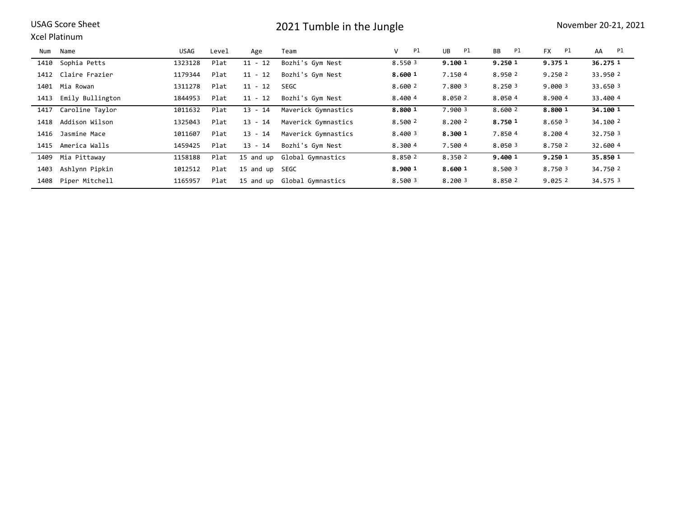Xcel Platinum

| Num  | Name                | USAG    | Level | Age       | Team                        | Pl<br>v | UB<br>Pl | <b>BB</b><br>Pl | <b>FX</b><br>Pl | Pl<br>AA |
|------|---------------------|---------|-------|-----------|-----------------------------|---------|----------|-----------------|-----------------|----------|
| 1410 | Sophia Petts        | 1323128 | Plat  | $11 - 12$ | Bozhi's Gym Nest            | 8.550 3 | 9.100 1  | 9.250 1         | 9.375 1         | 36.275 1 |
| 1412 | Claire Frazier      | 1179344 | Plat  | $11 - 12$ | Bozhi's Gym Nest            | 8.600 1 | 7.150 4  | 8.950 2         | 9.2502          | 33.950 2 |
|      | 1401 Mia Rowan      | 1311278 | Plat  | $11 - 12$ | <b>SEGC</b>                 | 8.600 2 | 7.800 3  | 8.250 3         | 9,000 3         | 33.650 3 |
| 1413 | Emily Bullington    | 1844953 | Plat  | $11 - 12$ | Bozhi's Gym Nest            | 8,400 4 | 8.050 2  | 8.0504          | 8,9004          | 33,4004  |
| 1417 | Caroline Taylor     | 1011632 | Plat  | $13 - 14$ | Maverick Gymnastics         | 8.800 1 | 7.900 3  | 8.600 2         | 8,800 1         | 34.100 1 |
| 1418 | Addison Wilson      | 1325043 | Plat  | $13 - 14$ | Maverick Gymnastics         | 8.500 2 | 8.200 2  | 8.750 1         | 8.650 3         | 34,100 2 |
| 1416 | Jasmine Mace        | 1011607 | Plat  | $13 - 14$ | Maverick Gymnastics         | 8.400 3 | 8.300 1  | 7.8504          | 8.2004          | 32.750 3 |
|      | 1415 America Walls  | 1459425 | Plat  | $13 - 14$ | Bozhi's Gym Nest            | 8.3004  | 7.500 4  | 8.0503          | 8.750 2         | 32.600 4 |
| 1409 | Mia Pittaway        | 1158188 | Plat  | 15 and up | Global Gymnastics           | 8.850 2 | 8.350 2  | 9.400 1         | 9.250 1         | 35.850 1 |
| 1403 | Ashlynn Pipkin      | 1012512 | Plat  | 15 and up | SEGC                        | 8.900 1 | 8.600 1  | 8.500 3         | 8.750 3         | 34.750 2 |
|      | 1408 Piper Mitchell | 1165957 | Plat  |           | 15 and up Global Gymnastics | 8.500 3 | 8.200 3  | 8.850 2         | 9.0252          | 34.575 3 |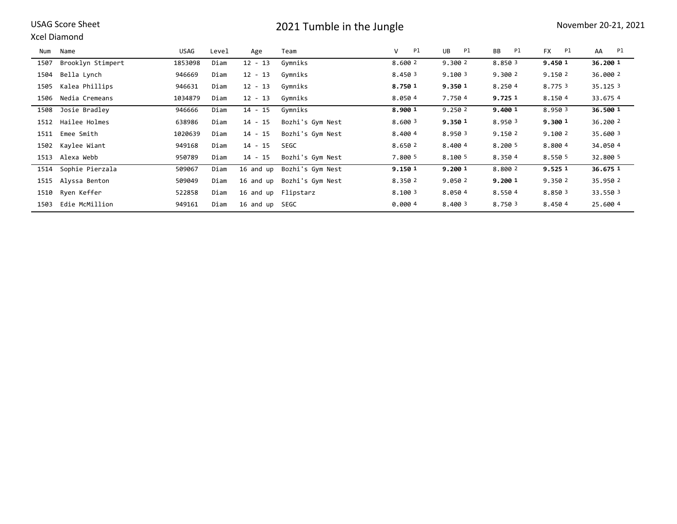### Xcel Diamond

| Num  | Name                 | USAG    | Level | Age            | Team             | V<br>Pl | Pl<br>UB | Pl<br>BB | <b>FX</b><br>Pl | AA<br>Pl |
|------|----------------------|---------|-------|----------------|------------------|---------|----------|----------|-----------------|----------|
| 1507 | Brooklyn Stimpert    | 1853098 | Diam  | $12 - 13$      | Gymniks          | 8.600 2 | 9.300 2  | 8.850 3  | 9.450 1         | 36.200 1 |
| 1504 | Bella Lynch          | 946669  | Diam  | $12 - 13$      | Gymniks          | 8.450 3 | 9.100 3  | 9.300 2  | 9.150 2         | 36.000 2 |
| 1505 | Kalea Phillips       | 946631  | Diam  | $12 - 13$      | Gymniks          | 8.750 1 | 9.350 1  | 8.2504   | 8.775 3         | 35.125 3 |
| 1506 | Nedia Cremeans       | 1034879 | Diam  | $12 - 13$      | Gymniks          | 8.0504  | 7.750 4  | 9.725 1  | 8.1504          | 33.6754  |
| 1508 | Josie Bradley        | 946666  | Diam  | $14 - 15$      | Gymniks          | 8.900 1 | 9.250 2  | 9.400 1  | 8.950 3         | 36.500 1 |
| 1512 | Hailee Holmes        | 638986  | Diam  | $14 - 15$      | Bozhi's Gym Nest | 8.600 3 | 9.350 1  | 8.950 3  | 9.300 1         | 36,200 2 |
| 1511 | Emee Smith           | 1020639 | Diam  | $14 - 15$      | Bozhi's Gym Nest | 8.4004  | 8.950 3  | 9.1502   | 9.1002          | 35.600 3 |
| 1502 | Kaylee Wiant         | 949168  | Diam  | $14 - 15$      | SEGC             | 8.650 2 | 8.400 4  | 8.200 5  | 8.8004          | 34.0504  |
|      | 1513 Alexa Webb      | 950789  | Diam  | 14 - 15        | Bozhi's Gym Nest | 7.800 5 | 8.100 5  | 8.3504   | 8.550 5         | 32.800 5 |
|      | 1514 Sophie Pierzala | 509067  | Diam  | 16 and up      | Bozhi's Gym Nest | 9.150 1 | 9.200 1  | 8.800 2  | 9.525 1         | 36.675 1 |
| 1515 | Alyssa Benton        | 509049  | Diam  | 16 and up      | Bozhi's Gym Nest | 8.350 2 | 9.050 2  | 9.200 1  | 9.3502          | 35.950 2 |
| 1510 | Ryen Keffer          | 522858  | Diam  | 16 and up      | Flipstarz        | 8.100 3 | 8.0504   | 8.5504   | 8.850 3         | 33.550 3 |
| 1503 | Edie McMillion       | 949161  | Diam  | 16 and up SEGC |                  | 0.0004  | 8.400 3  | 8.750 3  | 8.4504          | 25.600 4 |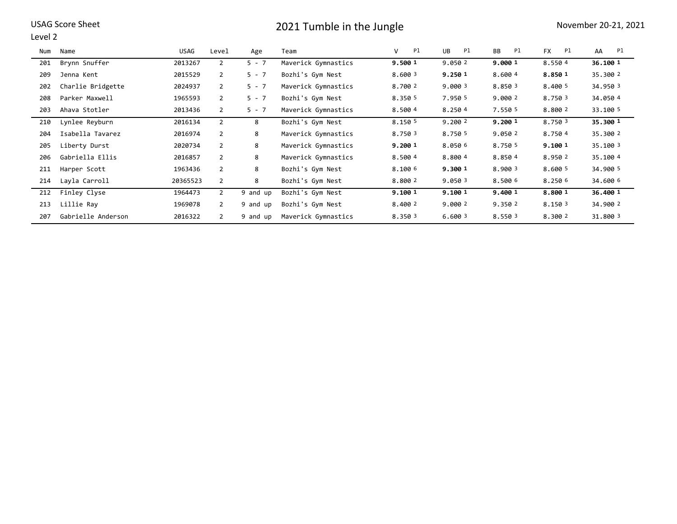| USAG Score Sheet |  |  |
|------------------|--|--|
|------------------|--|--|

#### Level 2

| Num | Name               | USAG     | Level          | Age      | Team                | Pl<br>V | UB<br>Pl | <b>BB</b><br>Pl | <b>FX</b><br>Pl | AA<br>Pl |
|-----|--------------------|----------|----------------|----------|---------------------|---------|----------|-----------------|-----------------|----------|
| 201 | Brynn Snuffer      | 2013267  | 2              | $5 - 7$  | Maverick Gymnastics | 9.500 1 | 9.0502   | 9.000 1         | 8.5504          | 36.100 1 |
| 209 | Jenna Kent         | 2015529  | 2              | $5 - 7$  | Bozhi's Gym Nest    | 8.600 3 | 9.250 1  | 8.600 4         | 8.850 1         | 35.300 2 |
| 202 | Charlie Bridgette  | 2024937  | 2              | $5 - 7$  | Maverick Gymnastics | 8.700 2 | 9.000 3  | 8.850 3         | 8.400 5         | 34.950 3 |
| 208 | Parker Maxwell     | 1965593  | 2              | $5 - 7$  | Bozhi's Gym Nest    | 8.350 5 | 7.950 5  | 9.000 2         | 8.750 3         | 34.0504  |
| 203 | Ahava Stotler      | 2013436  | $\overline{2}$ | $5 - 7$  | Maverick Gymnastics | 8.500 4 | 8.2504   | 7.550 5         | 8.800 2         | 33.100 5 |
| 210 | Lynlee Reyburn     | 2016134  | 2              | 8        | Bozhi's Gym Nest    | 8.150 5 | 9.2002   | 9.200 1         | 8.750 3         | 35.300 1 |
| 204 | Isabella Tavarez   | 2016974  | 2              | 8        | Maverick Gymnastics | 8.750 3 | 8.750 5  | 9.050 2         | 8.7504          | 35.300 2 |
| 205 | Liberty Durst      | 2020734  | 2              | 8        | Maverick Gymnastics | 9.200 1 | 8.050 6  | 8.750 5         | 9.100 1         | 35.100 3 |
| 206 | Gabriella Ellis    | 2016857  | $\overline{2}$ | 8        | Maverick Gymnastics | 8.500 4 | 8.800 4  | 8.8504          | 8.950 2         | 35.100 4 |
| 211 | Harper Scott       | 1963436  | 2              | 8        | Bozhi's Gym Nest    | 8.100 6 | 9.300 1  | 8.900 3         | 8.600 5         | 34,900 5 |
| 214 | Layla Carroll      | 20365523 | 2              | 8        | Bozhi's Gym Nest    | 8.800 2 | 9.050 3  | 8.500 6         | 8.250 6         | 34.600 6 |
| 212 | Finley Clyse       | 1964473  | $\overline{2}$ | 9 and up | Bozhi's Gym Nest    | 9.100 1 | 9.100 1  | 9.400 1         | 8.800 1         | 36,400 1 |
| 213 | Lillie Ray         | 1969078  | $\overline{2}$ | 9 and up | Bozhi's Gym Nest    | 8.400 2 | 9.000 2  | 9.350 2         | 8.150 3         | 34.900 2 |
| 207 | Gabrielle Anderson | 2016322  | 2              | 9 and up | Maverick Gymnastics | 8.350 3 | 6.600 3  | 8.550 3         | 8.300 2         | 31.800 3 |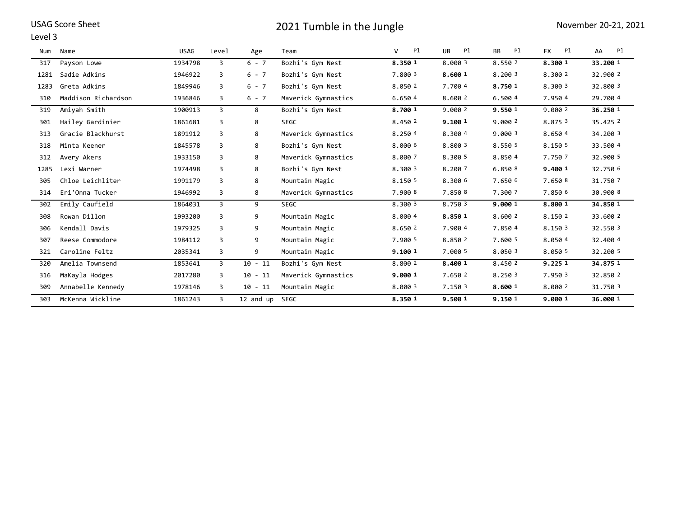| <b>USAG Score Sheet</b> |
|-------------------------|
|-------------------------|

#### Level 3

| Num  | Name                | <b>USAG</b> | Level | Age       | Team                | V<br>Pl | <b>UB</b><br>Pl | Pl<br>BB | <b>FX</b><br>Pl | AA<br>Pl |
|------|---------------------|-------------|-------|-----------|---------------------|---------|-----------------|----------|-----------------|----------|
| 317  | Payson Lowe         | 1934798     | 3     | $6 - 7$   | Bozhi's Gym Nest    | 8.350 1 | 8.000 3         | 8.550 2  | 8.300 1         | 33.200 1 |
| 1281 | Sadie Adkins        | 1946922     | 3     | $6 - 7$   | Bozhi's Gym Nest    | 7.800 3 | 8.600 1         | 8.200 3  | 8.300 2         | 32.900 2 |
| 1283 | Greta Adkins        | 1849946     | 3     | $6 - 7$   | Bozhi's Gym Nest    | 8.050 2 | 7.700 4         | 8.750 1  | 8.300 3         | 32.800 3 |
| 310  | Maddison Richardson | 1936846     | 3     | $6 - 7$   | Maverick Gymnastics | 6.650 4 | 8.600 2         | 6.500 4  | 7.950 4         | 29,700 4 |
| 319  | Amiyah Smith        | 1900913     | 3     | 8         | Bozhi's Gym Nest    | 8.700 1 | 9.000 2         | 9.550 1  | 9.000 2         | 36.250 1 |
| 301  | Hailey Gardinier    | 1861681     | 3     | 8         | <b>SEGC</b>         | 8.450 2 | 9.100 1         | 9.000 2  | 8.875 3         | 35.425 2 |
| 313  | Gracie Blackhurst   | 1891912     | 3     | 8         | Maverick Gymnastics | 8.250 4 | 8.300 4         | 9.000 3  | 8.650 4         | 34.200 3 |
| 318  | Minta Keener        | 1845578     | 3     | 8         | Bozhi's Gym Nest    | 8.000 6 | 8.800 3         | 8.550 5  | 8.150 5         | 33.500 4 |
| 312  | Avery Akers         | 1933150     | 3     | 8         | Maverick Gymnastics | 8.000 7 | 8.300 5         | 8.8504   | 7.750 7         | 32.900 5 |
| 1285 | Lexi Warner         | 1974498     | 3     | 8         | Bozhi's Gym Nest    | 8.300 3 | 8.200 7         | 6.850 8  | 9.400 1         | 32.750 6 |
| 305  | Chloe Leichliter    | 1991179     | 3     | 8         | Mountain Magic      | 8.150 5 | 8.300 6         | 7.650 6  | 7.650 8         | 31.7507  |
| 314  | Eri'Onna Tucker     | 1946992     | 3     | 8         | Maverick Gymnastics | 7.900 8 | 7.850 8         | 7.300 7  | 7.850 6         | 30.900 8 |
| 302  | Emily Caufield      | 1864031     | 3     | 9         | <b>SEGC</b>         | 8.300 3 | 8.750 3         | 9.000 1  | 8.800 1         | 34.850 1 |
| 308  | Rowan Dillon        | 1993200     | 3     | 9         | Mountain Magic      | 8.000 4 | 8.850 1         | 8.600 2  | 8.150 2         | 33.600 2 |
| 306  | Kendall Davis       | 1979325     | 3     | 9         | Mountain Magic      | 8.650 2 | 7.900 4         | 7.8504   | 8.150 3         | 32.550 3 |
| 307  | Reese Commodore     | 1984112     | 3     | 9         | Mountain Magic      | 7.900 5 | 8.850 2         | 7.600 5  | 8.0504          | 32.400 4 |
| 321  | Caroline Feltz      | 2035341     | 3     | 9         | Mountain Magic      | 9.100 1 | 7.000 5         | 8.050 3  | 8.050 5         | 32.200 5 |
| 320  | Amelia Townsend     | 1853641     | 3     | $10 - 11$ | Bozhi's Gym Nest    | 8.800 2 | 8.400 1         | 8.450 2  | 9.225 1         | 34.875 1 |
| 316  | MaKayla Hodges      | 2017280     | 3     | $10 - 11$ | Maverick Gymnastics | 9.000 1 | 7.650 2         | 8.250 3  | 7.950 3         | 32.850 2 |
| 309  | Annabelle Kennedy   | 1978146     | 3     | $10 - 11$ | Mountain Magic      | 8.000 3 | 7.150 3         | 8.600 1  | 8.000 2         | 31.750 3 |
| 303  | McKenna Wickline    | 1861243     | 3     | 12 and up | SEGC                | 8.350 1 | 9.500 1         | 9.150 1  | 9.000 1         | 36,000 1 |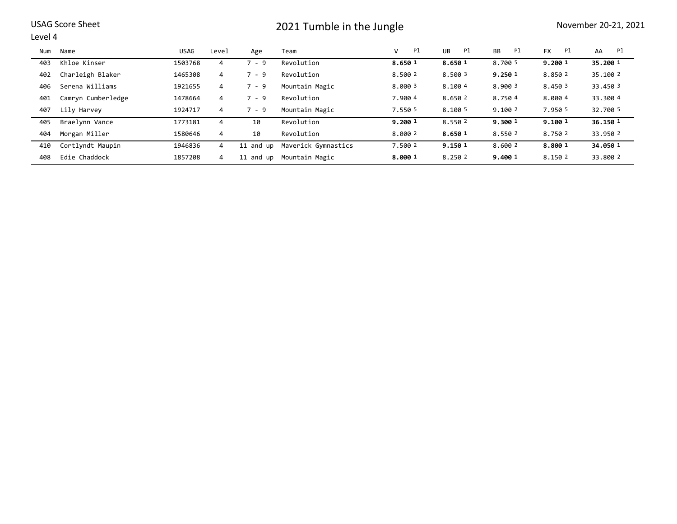### Level 4

| Num | Name               | USAG    | Level          | Age       | Team                | P1<br>v | P1<br>UB | P1<br>BB | P1<br><b>FX</b> | Pl<br>AA |
|-----|--------------------|---------|----------------|-----------|---------------------|---------|----------|----------|-----------------|----------|
| 403 | Khloe Kinser       | 1503768 | 4              | $7 - 9$   | Revolution          | 8.650 1 | 8.650 1  | 8.700 5  | 9.200 1         | 35.200 1 |
| 402 | Charleigh Blaker   | 1465308 | 4              | $7 - 9$   | Revolution          | 8.500 2 | 8.500 3  | 9.250 1  | 8.850 2         | 35.100 2 |
| 406 | Serena Williams    | 1921655 | 4              | $7 - 9$   | Mountain Magic      | 8,000 3 | 8.1004   | 8,900 3  | 8.450 3         | 33,450 3 |
| 401 | Camryn Cumberledge | 1478664 | 4              | $7 - 9$   | Revolution          | 7.900 4 | 8.650 2  | 8.7504   | 8.0004          | 33.300 4 |
| 407 | Lily Harvey        | 1924717 | 4              | $7 - 9$   | Mountain Magic      | 7.550 5 | 8.100 5  | 9.100 2  | 7.950 5         | 32.700 5 |
| 405 | Braelynn Vance     | 1773181 | 4              | 10        | Revolution          | 9.200 1 | 8.550 2  | 9.300 1  | 9.100 1         | 36.150 1 |
| 404 | Morgan Miller      | 1580646 | $\overline{4}$ | 10        | Revolution          | 8.000 2 | 8.650 1  | 8.550 2  | 8.750 2         | 33.950 2 |
| 410 | Cortlyndt Maupin   | 1946836 | 4              | 11 and up | Maverick Gymnastics | 7.500 2 | 9.150 1  | 8.600 2  | 8.800 1         | 34.050 1 |
| 408 | Edie Chaddock      | 1857208 | 4              | 11 and up | Mountain Magic      | 8.000 1 | 8.250 2  | 9,400 1  | 8.150 2         | 33.800 2 |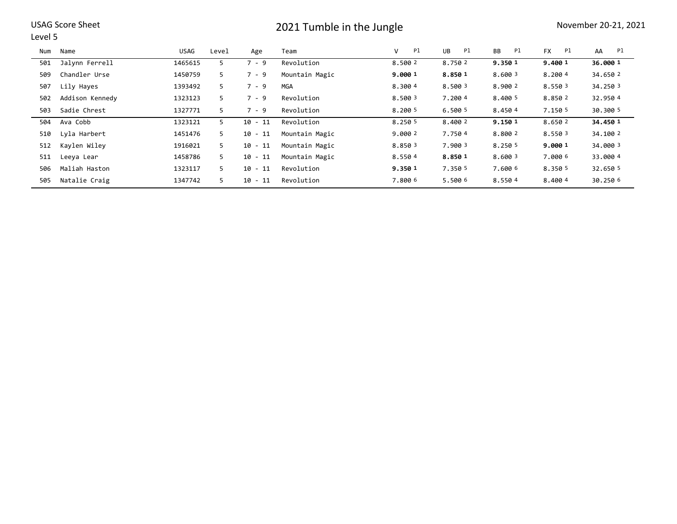#### Level 5

| Num | Name            | USAG    | Level | Age       | Team           | Pl<br>V | Pl<br>UB | Pl<br><b>BB</b> | P1<br><b>FX</b> | Pl<br>AA |
|-----|-----------------|---------|-------|-----------|----------------|---------|----------|-----------------|-----------------|----------|
| 501 | Jalynn Ferrell  | 1465615 | 5.    | $7 - 9$   | Revolution     | 8.500 2 | 8.750 2  | 9.350 1         | 9.400 1         | 36.000 1 |
| 509 | Chandler Urse   | 1450759 | 5     | $7 - 9$   | Mountain Magic | 9.000 1 | 8.850 1  | 8.600 3         | 8.2004          | 34.650 2 |
| 507 | Lily Hayes      | 1393492 | 5     | $7 - 9$   | <b>MGA</b>     | 8.3004  | 8.500 3  | 8,900 2         | 8.550 3         | 34.250 3 |
| 502 | Addison Kennedy | 1323123 | 5.    | $7 - 9$   | Revolution     | 8.500 3 | 7.2004   | 8,400 5         | 8.850 2         | 32.9504  |
| 503 | Sadie Chrest    | 1327771 | 5     | $7 - 9$   | Revolution     | 8.2005  | 6.500 5  | 8.4504          | 7.150 5         | 30.300 5 |
| 504 | Ava Cobb        | 1323121 | 5.    | $10 - 11$ | Revolution     | 8.250 5 | 8.400 2  | 9.150 1         | 8.650 2         | 34,450 1 |
| 510 | Lyla Harbert    | 1451476 | 5     | $10 - 11$ | Mountain Magic | 9.000 2 | 7.7504   | 8.800 2         | 8.550 3         | 34.100 2 |
| 512 | Kaylen Wiley    | 1916021 | 5     | $10 - 11$ | Mountain Magic | 8.850 3 | 7.900 3  | 8.250 5         | 9.000 1         | 34,000 3 |
| 511 | Leeya Lear      | 1458786 | 5     | $10 - 11$ | Mountain Magic | 8.5504  | 8.850 1  | 8,600 3         | 7.0006          | 33,000 4 |
| 506 | Maliah Haston   | 1323117 | 5.    | $10 - 11$ | Revolution     | 9.350 1 | 7.350 5  | 7.600 6         | 8.350 5         | 32.650 5 |
| 505 | Natalie Craig   | 1347742 | 5.    | $10 - 11$ | Revolution     | 7.800 6 | 5.500 6  | 8.5504          | 8.4004          | 30.250 6 |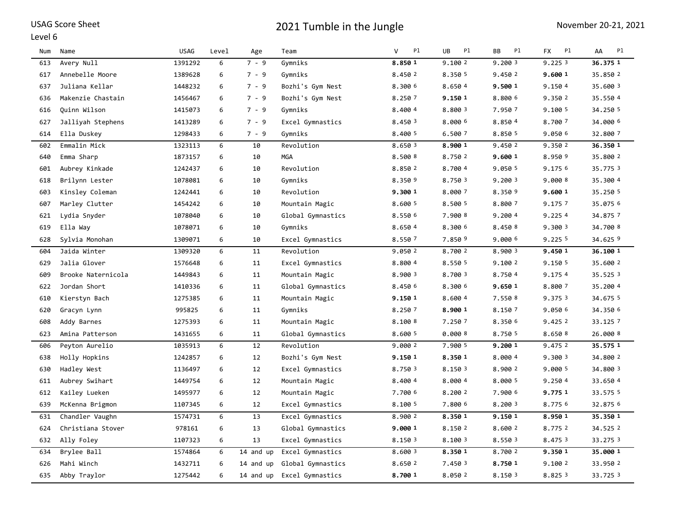|  |  | <b>USAG Score Sheet</b> |
|--|--|-------------------------|
|--|--|-------------------------|

#### Level 6

| Num | Name               | <b>USAG</b> | Level | Age       | Team              | P1<br>V | UB<br>Pl | BB<br>P1 | P1<br><b>FX</b> | Pl<br>AA |
|-----|--------------------|-------------|-------|-----------|-------------------|---------|----------|----------|-----------------|----------|
| 613 | Avery Null         | 1391292     | 6     | $7 - 9$   | Gymniks           | 8.850 1 | 9.1002   | 9.2003   | 9.2253          | 36.375 1 |
| 617 | Annebelle Moore    | 1389628     | 6     | $7 - 9$   | Gymniks           | 8.450 2 | 8.350 5  | 9.450 2  | 9.600 1         | 35.850 2 |
| 637 | Juliana Kellar     | 1448232     | 6     | $7 - 9$   | Bozhi's Gym Nest  | 8.300 6 | 8.650 4  | 9.500 1  | 9.150 4         | 35.600 3 |
| 636 | Makenzie Chastain  | 1456467     | 6     | $7 - 9$   | Bozhi's Gym Nest  | 8.250 7 | 9.150 1  | 8.800 6  | 9.350 2         | 35.550 4 |
| 616 | Quinn Wilson       | 1415073     | 6     | $7 - 9$   | Gymniks           | 8.400 4 | 8.800 3  | 7.950 7  | 9.100 5         | 34.250 5 |
| 627 | Jalliyah Stephens  | 1413289     | 6     | $7 - 9$   | Excel Gymnastics  | 8.450 3 | 8.000 6  | 8.8504   | 8.700 7         | 34.000 6 |
| 614 | Ella Duskey        | 1298433     | 6     | $7 - 9$   | Gymniks           | 8.400 5 | 6.500 7  | 8.850 5  | 9.050 6         | 32.800 7 |
| 602 | Emmalin Mick       | 1323113     | 6     | 10        | Revolution        | 8.650 3 | 8.900 1  | 9.450 2  | 9.350 2         | 36.350 1 |
| 640 | Emma Sharp         | 1873157     | 6     | 10        | <b>MGA</b>        | 8.500 8 | 8.750 2  | 9.600 1  | 8.950 9         | 35.800 2 |
| 601 | Aubrey Kinkade     | 1242437     | 6     | 10        | Revolution        | 8.850 2 | 8.700 4  | 9.050 5  | 9.175 6         | 35.775 3 |
| 618 | Brilynn Lester     | 1078081     | 6     | 10        | Gymniks           | 8.350 9 | 8.750 3  | 9.2003   | 9.000 8         | 35.300 4 |
| 603 | Kinsley Coleman    | 1242441     | 6     | 10        | Revolution        | 9.300 1 | 8.000 7  | 8.350 9  | 9.600 1         | 35.250 5 |
| 607 | Marley Clutter     | 1454242     | 6     | 10        | Mountain Magic    | 8.600 5 | 8.500 5  | 8.800 7  | 9.175 7         | 35.075 6 |
| 621 | Lydia Snyder       | 1078040     | 6     | 10        | Global Gymnastics | 8.550 6 | 7.900 8  | 9.2004   | 9.2254          | 34.8757  |
| 619 | Ella Way           | 1078071     | 6     | 10        | Gymniks           | 8.650 4 | 8.300 6  | 8.450 8  | 9.300 3         | 34.700 8 |
| 628 | Sylvia Monohan     | 1309071     | 6     | 10        | Excel Gymnastics  | 8.550 7 | 7.850 9  | 9.000 6  | 9.2255          | 34.625 9 |
| 604 | Jaida Winter       | 1309320     | 6     | 11        | Revolution        | 9.050 2 | 8.700 2  | 8.900 3  | 9.450 1         | 36.100 1 |
| 629 | Jalia Glover       | 1576648     | 6     | 11        | Excel Gymnastics  | 8.800 4 | 8.550 5  | 9.100 2  | 9.150 5         | 35.600 2 |
| 609 | Brooke Naternicola | 1449843     | 6     | 11        | Mountain Magic    | 8.900 3 | 8.700 3  | 8.7504   | 9.175 4         | 35.525 3 |
| 622 | Jordan Short       | 1410336     | 6     | 11        | Global Gymnastics | 8.450 6 | 8.300 6  | 9.650 1  | 8.800 7         | 35.200 4 |
| 610 | Kierstyn Bach      | 1275385     | 6     | 11        | Mountain Magic    | 9.150 1 | 8.600 4  | 7.550 8  | 9.375 3         | 34.675 5 |
| 620 | Gracyn Lynn        | 995825      | 6     | 11        | Gymniks           | 8.250 7 | 8.900 1  | 8.1507   | 9.050 6         | 34.350 6 |
| 608 | Addy Barnes        | 1275393     | 6     | 11        | Mountain Magic    | 8.100 8 | 7.250 7  | 8.350 6  | 9.4252          | 33.1257  |
| 623 | Amina Patterson    | 1431655     | 6     | 11        | Global Gymnastics | 8.600 5 | 0.000 8  | 8.750 5  | 8.650 8         | 26.000 8 |
| 606 | Peyton Aurelio     | 1035913     | 6     | 12        | Revolution        | 9.000 2 | 7.900 5  | 9.200 1  | 9.475 2         | 35.575 1 |
| 638 | Holly Hopkins      | 1242857     | 6     | 12        | Bozhi's Gym Nest  | 9.150 1 | 8.350 1  | 8.0004   | 9.300 3         | 34.800 2 |
| 630 | Hadley West        | 1136497     | 6     | 12        | Excel Gymnastics  | 8.750 3 | 8.150 3  | 8.900 2  | 9.000 5         | 34.800 3 |
| 611 | Aubrey Swihart     | 1449754     | 6     | 12        | Mountain Magic    | 8.400 4 | 8.000 4  | 8.000 5  | 9.2504          | 33.650 4 |
| 612 | Kailey Lueken      | 1495977     | 6     | 12        | Mountain Magic    | 7.700 6 | 8.200 2  | 7.900 6  | 9.775 1         | 33.575 5 |
| 639 | McKenna Brigmon    | 1107345     | 6     | 12        | Excel Gymnastics  | 8.100 5 | 7.800 6  | 8.200 3  | 8.775 6         | 32.875 6 |
| 631 | Chandler Vaughn    | 1574731     | 6     | 13        | Excel Gymnastics  | 8.900 2 | 8.350 1  | 9.150 1  | 8.950 1         | 35.350 1 |
| 624 | Christiana Stover  | 978161      | 6     | 13        | Global Gymnastics | 9.000 1 | 8.150 2  | 8.600 2  | 8.775 2         | 34.525 2 |
| 632 | Ally Foley         | 1107323     | 6     | 13        | Excel Gymnastics  | 8.150 3 | 8.100 3  | 8.550 3  | 8.475 3         | 33.275 3 |
| 634 | Brylee Ball        | 1574864     | 6     | 14 and up | Excel Gymnastics  | 8.600 3 | 8.350 1  | 8.700 2  | 9.350 1         | 35.000 1 |
| 626 | Mahi Winch         | 1432711     | 6     | 14 and up | Global Gymnastics | 8.650 2 | 7.450 3  | 8.750 1  | 9.100 2         | 33.950 2 |
| 635 | Abby Traylor       | 1275442     | 6     | 14 and up | Excel Gymnastics  | 8.700 1 | 8.050 2  | 8.150 3  | 8.825 3         | 33.725 3 |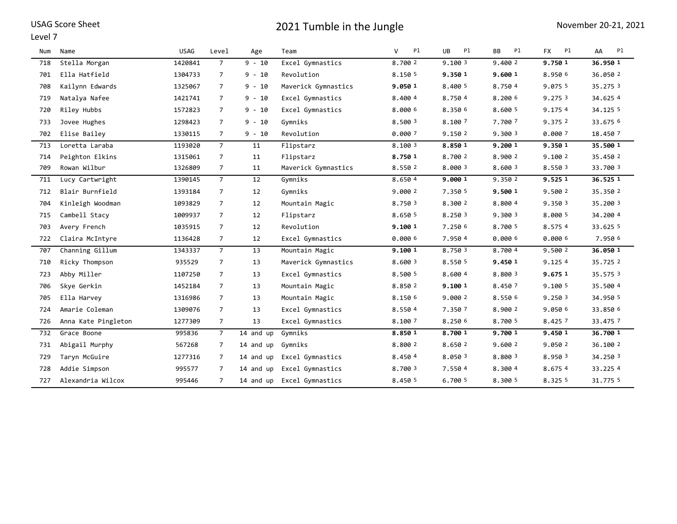### Level 7

| Num | Name                | <b>USAG</b> | Level          | Age       | Team                | v<br>Pl | Pl<br>UB. | Pl<br>BB | P1<br><b>FX</b> | Pl<br>AA |
|-----|---------------------|-------------|----------------|-----------|---------------------|---------|-----------|----------|-----------------|----------|
| 718 | Stella Morgan       | 1420841     | 7              | $9 - 10$  | Excel Gymnastics    | 8.700 2 | 9.1003    | 9.400 2  | 9.7501          | 36.950 1 |
| 701 | Ella Hatfield       | 1304733     | $\overline{7}$ | $9 - 10$  | Revolution          | 8.150 5 | 9.350 1   | 9.600 1  | 8.950 6         | 36.050 2 |
| 708 | Kailynn Edwards     | 1325067     | $\overline{7}$ | $9 - 10$  | Maverick Gymnastics | 9.050 1 | 8.400 5   | 8.7504   | 9.075 5         | 35.275 3 |
| 719 | Natalya Nafee       | 1421741     | $\overline{7}$ | $9 - 10$  | Excel Gymnastics    | 8.4004  | 8.7504    | 8.200 6  | 9.275 3         | 34.625 4 |
| 720 | Riley Hubbs         | 1572823     | $7^{\circ}$    | $9 - 10$  | Excel Gymnastics    | 8.000 6 | 8.350 6   | 8.600 5  | 9.175 4         | 34.125 5 |
| 733 | Jovee Hughes        | 1298423     | $\overline{7}$ | $9 - 10$  | Gymniks             | 8.500 3 | 8.100 7   | 7.700 7  | 9.375 2         | 33.675 6 |
| 702 | Elise Bailey        | 1330115     | $7^{\circ}$    | $9 - 10$  | Revolution          | 0.000 7 | 9.150 2   | 9.300 3  | 0.000 7         | 18.450 7 |
| 713 | Loretta Laraba      | 1193020     | $\overline{7}$ | 11        | Flipstarz           | 8.100 3 | 8.850 1   | 9.200 1  | 9.350 1         | 35.500 1 |
| 714 | Peighton Elkins     | 1315061     | 7              | 11        | Flipstarz           | 8.750 1 | 8.700 2   | 8.900 2  | 9.100 2         | 35.450 2 |
| 709 | Rowan Wilbur        | 1326809     | $\overline{7}$ | 11        | Maverick Gymnastics | 8.550 2 | 8.000 3   | 8.600 3  | 8.550 3         | 33.700 3 |
| 711 | Lucy Cartwright     | 1390145     | $\overline{7}$ | 12        | Gymniks             | 8.650 4 | 9.000 1   | 9.350 2  | 9.525 1         | 36.525 1 |
| 712 | Blair Burnfield     | 1393184     | $\overline{7}$ | 12        | Gymniks             | 9.000 2 | 7.350 5   | 9.500 1  | 9.500 2         | 35.350 2 |
| 704 | Kinleigh Woodman    | 1093829     | $\overline{7}$ | 12        | Mountain Magic      | 8.750 3 | 8.300 2   | 8.800 4  | 9.350 3         | 35.200 3 |
| 715 | Cambell Stacy       | 1009937     | $7^{\circ}$    | 12        | Flipstarz           | 8.650 5 | 8.250 3   | 9.300 3  | 8.000 5         | 34.2004  |
| 703 | Avery French        | 1035915     | $\overline{7}$ | 12        | Revolution          | 9.100 1 | 7.250 6   | 8.700 5  | 8.575 4         | 33.625 5 |
| 722 | Claira McIntyre     | 1136428     | $\overline{7}$ | 12        | Excel Gymnastics    | 0.000 6 | 7.950 4   | 0.000 6  | 0.0006          | 7.950 6  |
| 707 | Channing Gillum     | 1343337     | $\overline{7}$ | 13        | Mountain Magic      | 9.100 1 | 8.750 3   | 8.700 4  | 9.500 2         | 36.050 1 |
| 710 | Ricky Thompson      | 935529      | $\overline{7}$ | 13        | Maverick Gymnastics | 8.600 3 | 8.550 5   | 9.450 1  | 9.1254          | 35.725 2 |
| 723 | Abby Miller         | 1107250     | $\overline{7}$ | 13        | Excel Gymnastics    | 8.500 5 | 8.600 4   | 8.800 3  | 9.675 1         | 35.575 3 |
| 706 | Skye Gerkin         | 1452184     | 7              | 13        | Mountain Magic      | 8.850 2 | 9.100 1   | 8.450 7  | 9.100 5         | 35.500 4 |
| 705 | Ella Harvey         | 1316986     | $7^{\circ}$    | 13        | Mountain Magic      | 8.150 6 | 9.000 2   | 8.550 6  | 9.2503          | 34.950 5 |
| 724 | Amarie Coleman      | 1309076     | $\overline{7}$ | 13        | Excel Gymnastics    | 8.550 4 | 7.350 7   | 8.900 2  | 9.050 6         | 33.850 6 |
| 726 | Anna Kate Pingleton | 1277309     | $7^{\circ}$    | 13        | Excel Gymnastics    | 8.100 7 | 8.250 6   | 8.700 5  | 8.425 7         | 33.475 7 |
| 732 | Grace Boone         | 995836      | $\overline{7}$ | 14 and up | Gymniks             | 8.850 1 | 8.700 1   | 9.700 1  | 9.450 1         | 36.700 1 |
| 731 | Abigail Murphy      | 567268      | 7              | 14 and up | Gymniks             | 8.800 2 | 8.650 2   | 9.600 2  | 9.050 2         | 36.100 2 |
| 729 | Taryn McGuire       | 1277316     | 7              | 14 and up | Excel Gymnastics    | 8.450 4 | 8.050 3   | 8.800 3  | 8.950 3         | 34.250 3 |
| 728 | Addie Simpson       | 995577      | 7              | 14 and up | Excel Gymnastics    | 8.700 3 | 7.550 4   | 8.300 4  | 8.675 4         | 33.2254  |
| 727 | Alexandria Wilcox   | 995446      | 7              | 14 and up | Excel Gymnastics    | 8.450 5 | 6.700 5   | 8.300 5  | 8.325 5         | 31.775 5 |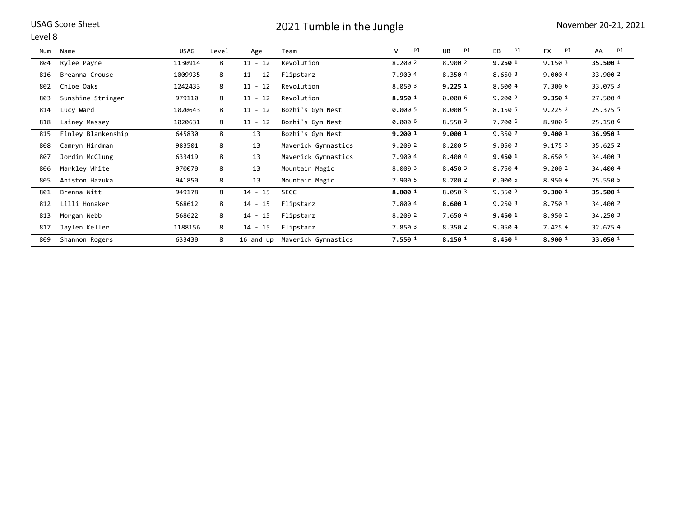### Level 8

| Num | Name               | USAG    | Level | Age       | Team                | Pl<br>v | <b>UB</b><br>Pl | <b>BB</b><br>Pl | <b>FX</b><br>Pl | AA<br>Pl |
|-----|--------------------|---------|-------|-----------|---------------------|---------|-----------------|-----------------|-----------------|----------|
| 804 | Rylee Payne        | 1130914 | 8     | $11 - 12$ | Revolution          | 8.200 2 | 8.900 2         | 9.250 1         | 9.150 3         | 35.500 1 |
| 816 | Breanna Crouse     | 1009935 | 8     | $11 - 12$ | Flipstarz           | 7.900 4 | 8.350 4         | 8.650 3         | 9.000 4         | 33.900 2 |
| 802 | Chloe Oaks         | 1242433 | 8     | $11 - 12$ | Revolution          | 8.050 3 | 9.225 1         | 8.500 4         | 7.300 6         | 33.075 3 |
| 803 | Sunshine Stringer  | 979110  | 8     | $11 - 12$ | Revolution          | 8.950 1 | 0.000 6         | 9.200 2         | 9.350 1         | 27.500 4 |
| 814 | Lucy Ward          | 1020643 | 8     | $11 - 12$ | Bozhi's Gym Nest    | 0.000 5 | 8.000 5         | 8.150 5         | 9.2252          | 25.375 5 |
| 818 | Lainey Massey      | 1020631 | 8     | $11 - 12$ | Bozhi's Gym Nest    | 0.000 6 | 8.550 3         | 7.700 6         | 8.900 5         | 25.150 6 |
| 815 | Finley Blankenship | 645830  | 8     | 13        | Bozhi's Gym Nest    | 9.200 1 | 9.000 1         | 9.350 2         | 9.400 1         | 36.950 1 |
| 808 | Camryn Hindman     | 983501  | 8     | 13        | Maverick Gymnastics | 9.200 2 | 8.200 5         | 9.050 3         | 9.1753          | 35.625 2 |
| 807 | Jordin McClung     | 633419  | 8     | 13        | Maverick Gymnastics | 7.900 4 | 8.400 4         | 9.450 1         | 8.650 5         | 34,400 3 |
| 806 | Markley White      | 970070  | 8     | 13        | Mountain Magic      | 8.000 3 | 8.450 3         | 8.7504          | 9.200 2         | 34,400 4 |
| 805 | Aniston Hazuka     | 941850  | 8     | 13        | Mountain Magic      | 7.900 5 | 8.700 2         | 0.000 5         | 8.9504          | 25.550 5 |
| 801 | Brenna Witt        | 949178  | 8     | $14 - 15$ | <b>SEGC</b>         | 8.800 1 | 8.050 3         | 9.350 2         | 9.300 1         | 35.500 1 |
| 812 | Lilli Honaker      | 568612  | 8     | $14 - 15$ | Flipstarz           | 7.800 4 | 8.600 1         | 9.2503          | 8.750 3         | 34,400 2 |
| 813 | Morgan Webb        | 568622  | 8     | $14 - 15$ | Flipstarz           | 8.200 2 | 7.650 4         | 9.450 1         | 8.950 2         | 34.250 3 |
| 817 | Jaylen Keller      | 1188156 | 8     | $14 - 15$ | Flipstarz           | 7.850 3 | 8.350 2         | 9.0504          | 7.4254          | 32.6754  |
| 809 | Shannon Rogers     | 633430  | 8     | 16 and up | Maverick Gymnastics | 7.550 1 | 8.150 1         | 8.450 1         | 8.900 1         | 33.050 1 |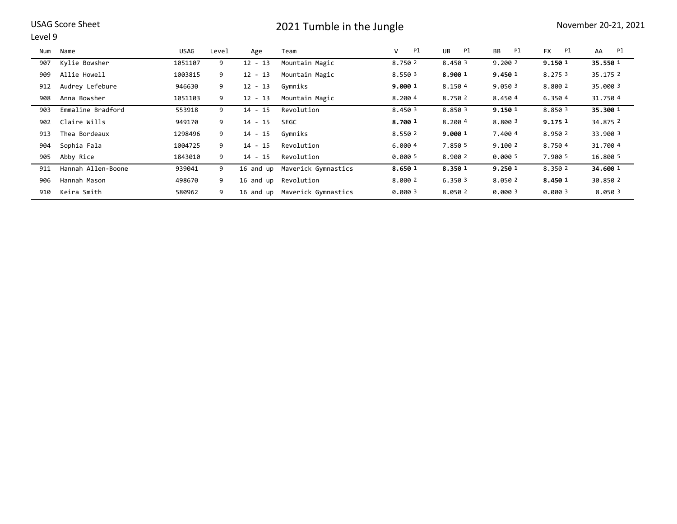### Level 9

| Num | Name               | USAG    | Level | Age       | Team                | P1<br>V | UB<br>Pl | <b>BB</b><br>Pl | <b>FX</b><br>Pl | Pl<br>AA |
|-----|--------------------|---------|-------|-----------|---------------------|---------|----------|-----------------|-----------------|----------|
| 907 | Kylie Bowsher      | 1051107 | 9     | $12 - 13$ | Mountain Magic      | 8.750 2 | 8.450 3  | 9.200 2         | 9.150 1         | 35.550 1 |
| 909 | Allie Howell       | 1003815 | 9     | $12 - 13$ | Mountain Magic      | 8.550 3 | 8.900 1  | 9.450 1         | 8.275 3         | 35.1752  |
| 912 | Audrey Lefebure    | 946630  | 9     | $12 - 13$ | Gymniks             | 9.000 1 | 8.1504   | 9.0503          | 8.800 2         | 35.000 3 |
| 908 | Anna Bowsher       | 1051103 | 9     | $12 - 13$ | Mountain Magic      | 8.2004  | 8.750 2  | 8.4504          | 6.3504          | 31.7504  |
| 903 | Emmaline Bradford  | 553918  | 9     | $14 - 15$ | Revolution          | 8.450 3 | 8.850 3  | 9.150 1         | 8.8503          | 35.300 1 |
| 902 | Claire Wills       | 949170  | 9     | $14 - 15$ | <b>SEGC</b>         | 8.700 1 | 8.2004   | 8.800 3         | 9.175 1         | 34.875 2 |
| 913 | Thea Bordeaux      | 1298496 | 9     | $14 - 15$ | Gymniks             | 8.550 2 | 9.000 1  | 7.4004          | 8.950 2         | 33,900 3 |
| 904 | Sophia Fala        | 1004725 | 9     | $14 - 15$ | Revolution          | 6.000 4 | 7.850 5  | 9.1002          | 8.7504          | 31,700 4 |
| 905 | Abby Rice          | 1843010 | 9     | $14 - 15$ | Revolution          | 0.000 5 | 8.900 2  | 0.000 5         | 7.900 5         | 16.800 5 |
| 911 | Hannah Allen-Boone | 939041  | 9     | 16 and up | Maverick Gymnastics | 8.650 1 | 8.350 1  | 9.250 1         | 8.350 2         | 34.600 1 |
| 906 | Hannah Mason       | 498670  | 9     | 16 and up | Revolution          | 8.000 2 | 6.3503   | 8.050 2         | 8.450 1         | 30.850 2 |
| 910 | Keira Smith        | 580962  | 9     | 16 and up | Maverick Gymnastics | 0.0003  | 8.050 2  | 0.0003          | 0.0003          | 8.0503   |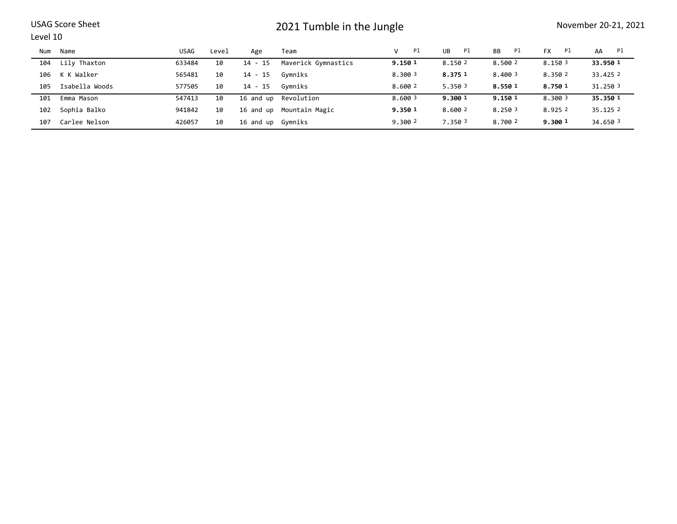### Level 10

| Num | Name           | USAG   | Level | Age               | Team                     | Pl<br>v | Pl<br>UB | Pl<br><b>BB</b> | Pl<br><b>FX</b> | Pl<br>AA |
|-----|----------------|--------|-------|-------------------|--------------------------|---------|----------|-----------------|-----------------|----------|
| 104 | Lily Thaxton   | 633484 | 10    | 14 - 15           | Maverick Gymnastics      | 9.150 1 | 8.150 2  | 8.500 2         | 8.150 3         | 33.950 1 |
| 106 | K K Walker     | 565481 | 10    | 14 - 15           | Gymniks                  | 8.300 3 | 8.375 1  | 8,400 3         | 8.350 2         | 33.425 2 |
| 105 | Isabella Woods | 577505 | 10    | 14 - 15           | Gvmniks                  | 8.600 2 | 5.350 3  | 8.550 1         | 8.750 1         | 31,250 3 |
| 101 | Emma Mason     | 547413 | 10    |                   | 16 and up Revolution     | 8.600 3 | 9.300 1  | 9.150 1         | 8.300 3         | 35.350 1 |
| 102 | Sophia Balko   | 941842 | 10    |                   | 16 and up Mountain Magic | 9.350 1 | 8.600 2  | 8.250 3         | 8.9252          | 35.1252  |
| 107 | Carlee Nelson  | 426057 | 10    | 16 and up Gymniks |                          | 9.300 2 | 7.350 3  | 8,700 2         | 9.300 1         | 34.650 3 |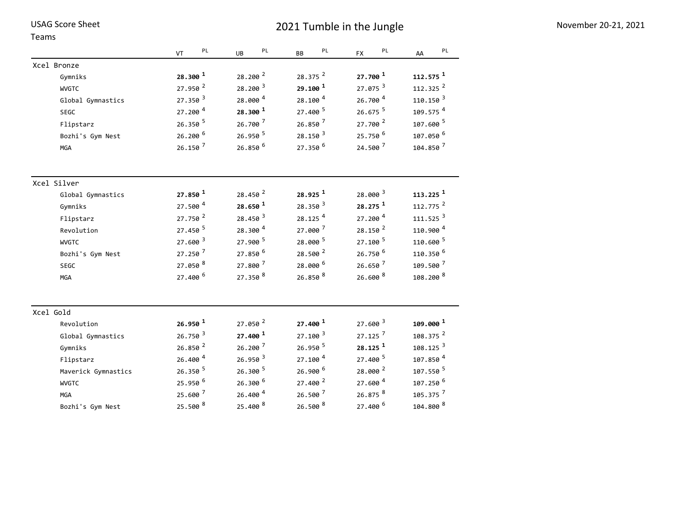| Teams               |                            |                     |                     |                       |                        |
|---------------------|----------------------------|---------------------|---------------------|-----------------------|------------------------|
|                     | $\mathsf{PL}$<br><b>VT</b> | PL<br>UB            | PL<br><b>BB</b>     | PL<br><b>FX</b>       | PL<br>AA               |
| Xcel Bronze         |                            |                     |                     |                       |                        |
| Gymniks             | 28.300 1                   | 28.200 2            | 28.375 <sup>2</sup> | 27.700 1              | 112.575 <sup>1</sup>   |
| <b>WVGTC</b>        | 27.950 2                   | $28.200^{3}$        | 29.100 1            | 27.075 <sup>3</sup>   | 112.325 <sup>2</sup>   |
| Global Gymnastics   | $27.350^{3}$               | 28.000 4            | 28.100 4            | 26.700 4              | $110.150$ <sup>3</sup> |
| SEGC                | 27.200 4                   | 28.300 1            | 27.400 5            | 26.675 5              | 109.575 <sup>4</sup>   |
| Flipstarz           | $26.350$ <sup>5</sup>      | 26.700 7            | 26.850 7            | 27.700 $^2$           | 107.600 5              |
| Bozhi's Gym Nest    | 26.200 6                   | 26.950 5            | $28.150^{3}$        | 25.750 6              | 107.050 6              |
| <b>MGA</b>          | 26.150 7                   | 26.850 6            | 27.350 6            | 24.500 7              | 104.850 <sup>7</sup>   |
| Xcel Silver         |                            |                     |                     |                       |                        |
| Global Gymnastics   | $27.850^{1}$               | 28.450 <sup>2</sup> | 28.925 1            | 28.000 <sup>3</sup>   | 113.225 <sup>1</sup>   |
| Gymniks             | 27.500 4                   | 28.650 <sup>1</sup> | 28.350 <sup>3</sup> | 28.275 1              | 112.775 <sup>2</sup>   |
| Flipstarz           | 27.750 $2$                 | $28.450^{3}$        | 28.125 <sup>4</sup> | 27.200 <sup>4</sup>   | $111.525$ <sup>3</sup> |
| Revolution          | $27.450$ <sup>5</sup>      | 28.300 4            | 27.000 7            | 28.150 2              | 110.900 <sup>4</sup>   |
| <b>WVGTC</b>        | 27.600 3                   | 27.900 5            | 28.000 5            | 27.100 5              | 110.600 5              |
| Bozhi's Gym Nest    | 27.250 7                   | 27.850 6            | 28.500 <sup>2</sup> | 26.750 6              | 110.350 <sup>6</sup>   |
| <b>SEGC</b>         | 27.050 8                   | 27.800 7            | 28.000 6            | 26.650 <sup>7</sup>   | 109.500 7              |
| MGA                 | 27.400 6                   | 27.350 8            | 26.850 8            | $26.600$ <sup>8</sup> | 108.200 <sup>8</sup>   |
| Xcel Gold           |                            |                     |                     |                       |                        |
| Revolution          | 26.950 1                   | 27.050 2            | 27.400 <sup>1</sup> | $27.600^{3}$          | $109.000$ <sup>1</sup> |
| Global Gymnastics   | 26.750 <sup>3</sup>        | 27.400 <sup>1</sup> | $27.100^{3}$        | $27.125$ <sup>7</sup> | 108.375 <sup>2</sup>   |
| Gymniks             | 26.850 2                   | 26.200 7            | 26.950 5            | 28.125 1              | 108.125 <sup>3</sup>   |
| Flipstarz           | 26.400 4                   | 26.950 <sup>3</sup> | 27.100 <sup>4</sup> | 27.400 5              | 107.850 <sup>4</sup>   |
| Maverick Gymnastics | 26.350 5                   | 26.300 5            | 26.900 6            | 28.000 2              | 107.550 <sup>5</sup>   |
| <b>WVGTC</b>        | 25.950 6                   | 26.300 6            | 27.400 $^2$         | 27.600 4              | 107.250 <sup>6</sup>   |
| <b>MGA</b>          | 25.600 7                   | 26.400 4            | 26.500 7            | 26.875 8              | 105.375 <sup>7</sup>   |
| Bozhi's Gym Nest    | 25.500 8                   | 25.400 8            | 26.500 8            | 27.400 6              | 104.800 8              |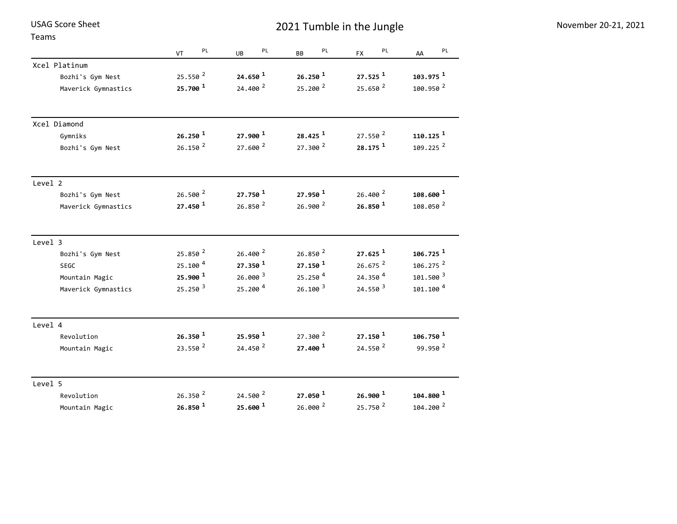Teams

|                     | PL<br><b>VT</b>       | PL<br>UB            | PL<br><b>BB</b>       | PL<br><b>FX</b>       | PL<br>AA               |
|---------------------|-----------------------|---------------------|-----------------------|-----------------------|------------------------|
| Xcel Platinum       |                       |                     |                       |                       |                        |
| Bozhi's Gym Nest    | 25.550 <sup>2</sup>   | 24.650 <sup>1</sup> | $26.250$ <sup>1</sup> | $27.525$ <sup>1</sup> | $103.975$ <sup>1</sup> |
| Maverick Gymnastics | 25.700 $^1$           | 24.400 2            | 25.200 <sup>2</sup>   | 25.650 <sup>2</sup>   | 100.950 2              |
| Xcel Diamond        |                       |                     |                       |                       |                        |
| Gymniks             | $26.250$ <sup>1</sup> | $27.900^{1}$        | 28.425 <sup>1</sup>   | 27.550 <sup>2</sup>   | $110.125$ <sup>1</sup> |
| Bozhi's Gym Nest    | $26.150^{2}$          | 27.600 $^2$         | $27.300^{2}$          | $28.175$ <sup>1</sup> | 109.225 2              |
| Level 2             |                       |                     |                       |                       |                        |
| Bozhi's Gym Nest    | $26.500^{2}$          | 27.750 <sup>1</sup> | 27.950 <sup>1</sup>   | $26.400^{2}$          | $108.600$ <sup>1</sup> |
| Maverick Gymnastics | 27.450 1              | 26.850 <sup>2</sup> | $26.900^{2}$          | 26.850 <sup>1</sup>   | 108.050 2              |
| Level 3             |                       |                     |                       |                       |                        |
| Bozhi's Gym Nest    | 25.850 $2$            | 26.400 <sup>2</sup> | 26.850 <sup>2</sup>   | $27.625$ <sup>1</sup> | $106.725$ <sup>1</sup> |
| <b>SEGC</b>         | 25.100 <sup>4</sup>   | $27.350^{1}$        | $27.150^{1}$          | $26.675$ <sup>2</sup> | 106.275 <sup>2</sup>   |
| Mountain Magic      | 25.900 1              | $26.000^{3}$        | 25.250 <sup>4</sup>   | 24.350 4              | 101.500 3              |
| Maverick Gymnastics | 25.250 <sup>3</sup>   | 25.200 4            | 26.100 <sup>3</sup>   | 24.550 3              | 101.100 <sup>4</sup>   |
| Level 4             |                       |                     |                       |                       |                        |
| Revolution          | 26.350 <sup>1</sup>   | 25.950 1            | $27.300^{2}$          | $27.150^{1}$          | $106.750$ <sup>1</sup> |
| Mountain Magic      | 23.550 <sup>2</sup>   | 24.450 $^2$         | 27.400 1              | 24.550 $^2$           | 99.950 2               |
| Level 5             |                       |                     |                       |                       |                        |
| Revolution          | 26.350 2              | 24.500 $^2$         | $27.050$ <sup>1</sup> | $26.900$ <sup>1</sup> | $104.800$ <sup>1</sup> |
| Mountain Magic      | 26.850 <sup>1</sup>   | $25.600^{1}$        | 26.000 2              | 25.750 <sup>2</sup>   | 104.200 2              |